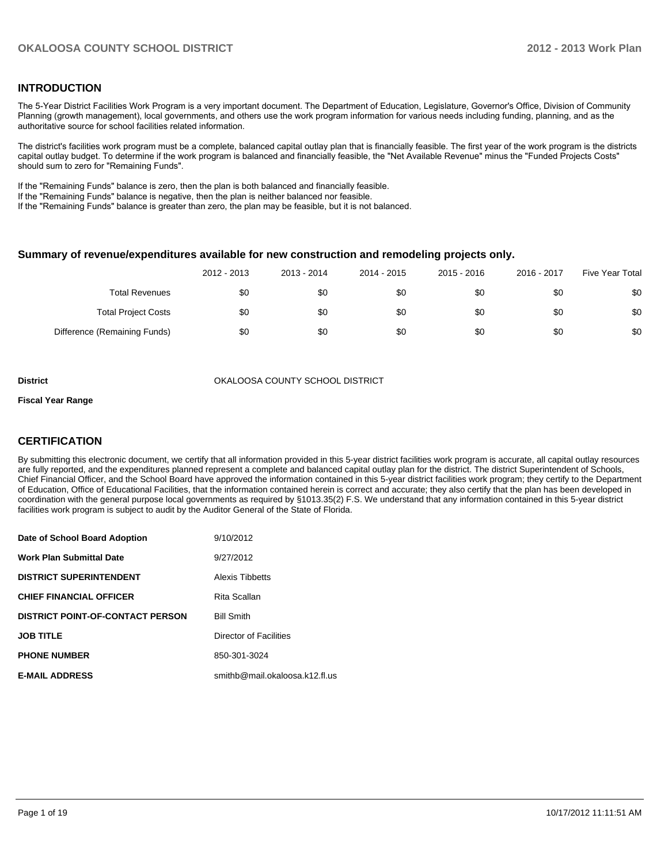### **INTRODUCTION**

The 5-Year District Facilities Work Program is a very important document. The Department of Education, Legislature, Governor's Office, Division of Community Planning (growth management), local governments, and others use the work program information for various needs including funding, planning, and as the authoritative source for school facilities related information.

The district's facilities work program must be a complete, balanced capital outlay plan that is financially feasible. The first year of the work program is the districts capital outlay budget. To determine if the work program is balanced and financially feasible, the "Net Available Revenue" minus the "Funded Projects Costs" should sum to zero for "Remaining Funds".

If the "Remaining Funds" balance is zero, then the plan is both balanced and financially feasible.

If the "Remaining Funds" balance is negative, then the plan is neither balanced nor feasible.

If the "Remaining Funds" balance is greater than zero, the plan may be feasible, but it is not balanced.

#### **Summary of revenue/expenditures available for new construction and remodeling projects only.**

|                              | 2012 - 2013 | 2013 - 2014 | 2014 - 2015 | 2015 - 2016 | 2016 - 2017 | Five Year Total |
|------------------------------|-------------|-------------|-------------|-------------|-------------|-----------------|
| <b>Total Revenues</b>        | \$0         | \$0         | \$0         | \$0         | \$0         | \$0             |
| <b>Total Project Costs</b>   | \$0         | \$0         | \$0         | \$0         | \$0         | \$0             |
| Difference (Remaining Funds) | \$0         | \$0         | \$0         | \$0         | \$0         | \$0             |

**District COUNTY SCHOOL DISTRICT** OKALOOSA COUNTY SCHOOL DISTRICT

#### **Fiscal Year Range**

### **CERTIFICATION**

By submitting this electronic document, we certify that all information provided in this 5-year district facilities work program is accurate, all capital outlay resources are fully reported, and the expenditures planned represent a complete and balanced capital outlay plan for the district. The district Superintendent of Schools, Chief Financial Officer, and the School Board have approved the information contained in this 5-year district facilities work program; they certify to the Department of Education, Office of Educational Facilities, that the information contained herein is correct and accurate; they also certify that the plan has been developed in coordination with the general purpose local governments as required by §1013.35(2) F.S. We understand that any information contained in this 5-year district facilities work program is subject to audit by the Auditor General of the State of Florida.

| Date of School Board Adoption           | 9/10/2012                      |
|-----------------------------------------|--------------------------------|
| <b>Work Plan Submittal Date</b>         | 9/27/2012                      |
| <b>DISTRICT SUPERINTENDENT</b>          | Alexis Tibbetts                |
| <b>CHIEF FINANCIAL OFFICER</b>          | Rita Scallan                   |
| <b>DISTRICT POINT-OF-CONTACT PERSON</b> | <b>Bill Smith</b>              |
| <b>JOB TITLE</b>                        | Director of Facilities         |
| <b>PHONE NUMBER</b>                     | 850-301-3024                   |
| <b>E-MAIL ADDRESS</b>                   | smithb@mail.okaloosa.k12.fl.us |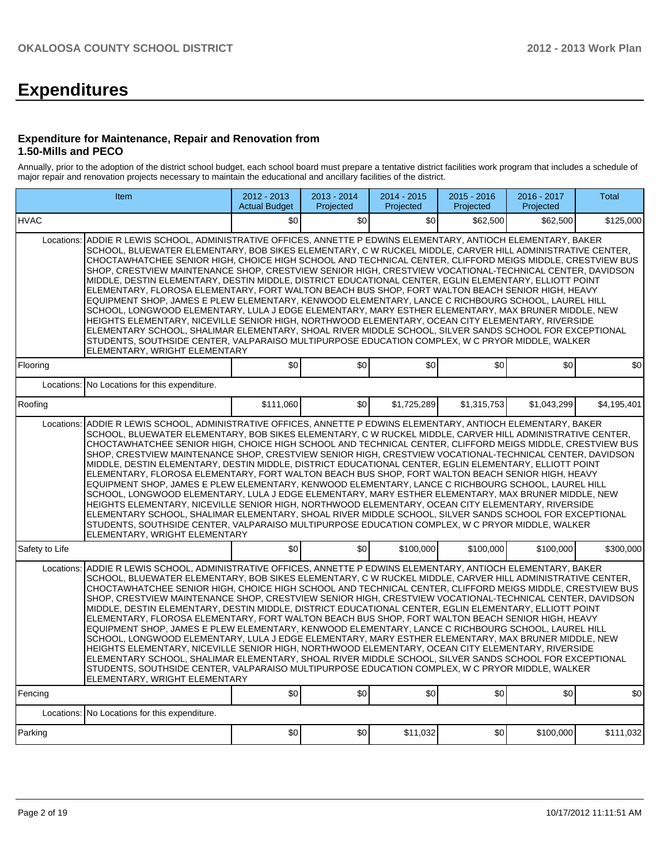# **Expenditures**

#### **Expenditure for Maintenance, Repair and Renovation from 1.50-Mills and PECO**

Annually, prior to the adoption of the district school budget, each school board must prepare a tentative district facilities work program that includes a schedule of major repair and renovation projects necessary to maintain the educational and ancillary facilities of the district.

|                | Item                                                                                                                                                                                                                                                                                                                                                                                                                                                                                                                                                                                                                                                                                                                                                                                                                                                                                                                                                                                                                                                                                                                                                                                                                     | 2012 - 2013<br><b>Actual Budget</b> | 2013 - 2014<br>Projected | 2014 - 2015<br>Projected | $2015 - 2016$<br>Projected | 2016 - 2017<br>Projected | <b>Total</b> |  |  |  |  |
|----------------|--------------------------------------------------------------------------------------------------------------------------------------------------------------------------------------------------------------------------------------------------------------------------------------------------------------------------------------------------------------------------------------------------------------------------------------------------------------------------------------------------------------------------------------------------------------------------------------------------------------------------------------------------------------------------------------------------------------------------------------------------------------------------------------------------------------------------------------------------------------------------------------------------------------------------------------------------------------------------------------------------------------------------------------------------------------------------------------------------------------------------------------------------------------------------------------------------------------------------|-------------------------------------|--------------------------|--------------------------|----------------------------|--------------------------|--------------|--|--|--|--|
| <b>HVAC</b>    |                                                                                                                                                                                                                                                                                                                                                                                                                                                                                                                                                                                                                                                                                                                                                                                                                                                                                                                                                                                                                                                                                                                                                                                                                          | \$0                                 | \$0                      | \$0                      | \$62,500                   | \$62,500                 | \$125,000    |  |  |  |  |
| Locations:     | ADDIE R LEWIS SCHOOL, ADMINISTRATIVE OFFICES, ANNETTE P EDWINS ELEMENTARY, ANTIOCH ELEMENTARY, BAKER<br>SCHOOL, BLUEWATER ELEMENTARY, BOB SIKES ELEMENTARY, C W RUCKEL MIDDLE, CARVER HILL ADMINISTRATIVE CENTER,<br>CHOCTAWHATCHEE SENIOR HIGH, CHOICE HIGH SCHOOL AND TECHNICAL CENTER, CLIFFORD MEIGS MIDDLE, CRESTVIEW BUS<br>SHOP. CRESTVIEW MAINTENANCE SHOP. CRESTVIEW SENIOR HIGH. CRESTVIEW VOCATIONAL-TECHNICAL CENTER. DAVIDSON<br>MIDDLE, DESTIN ELEMENTARY, DESTIN MIDDLE, DISTRICT EDUCATIONAL CENTER, EGLIN ELEMENTARY, ELLIOTT POINT<br>ELEMENTARY, FLOROSA ELEMENTARY, FORT WALTON BEACH BUS SHOP, FORT WALTON BEACH SENIOR HIGH, HEAVY<br>EQUIPMENT SHOP, JAMES E PLEW ELEMENTARY, KENWOOD ELEMENTARY, LANCE C RICHBOURG SCHOOL, LAUREL HILL<br>SCHOOL, LONGWOOD ELEMENTARY, LULA J EDGE ELEMENTARY, MARY ESTHER ELEMENTARY, MAX BRUNER MIDDLE, NEW<br>HEIGHTS ELEMENTARY, NICEVILLE SENIOR HIGH, NORTHWOOD ELEMENTARY, OCEAN CITY ELEMENTARY, RIVERSIDE<br>ELEMENTARY SCHOOL. SHALIMAR ELEMENTARY, SHOAL RIVER MIDDLE SCHOOL. SILVER SANDS SCHOOL FOR EXCEPTIONAL<br>STUDENTS, SOUTHSIDE CENTER, VALPARAISO MULTIPURPOSE EDUCATION COMPLEX, W C PRYOR MIDDLE, WALKER<br>ELEMENTARY, WRIGHT ELEMENTARY |                                     |                          |                          |                            |                          |              |  |  |  |  |
| Flooring       |                                                                                                                                                                                                                                                                                                                                                                                                                                                                                                                                                                                                                                                                                                                                                                                                                                                                                                                                                                                                                                                                                                                                                                                                                          | \$0                                 | \$0                      | \$0                      | \$0                        | \$0                      | \$0          |  |  |  |  |
| Locations:     | No Locations for this expenditure.                                                                                                                                                                                                                                                                                                                                                                                                                                                                                                                                                                                                                                                                                                                                                                                                                                                                                                                                                                                                                                                                                                                                                                                       |                                     |                          |                          |                            |                          |              |  |  |  |  |
| Roofing        |                                                                                                                                                                                                                                                                                                                                                                                                                                                                                                                                                                                                                                                                                                                                                                                                                                                                                                                                                                                                                                                                                                                                                                                                                          | \$111,060                           | \$0                      | \$1,725,289              | \$1,315,753                | \$1,043,299              | \$4,195,401  |  |  |  |  |
| Locations:     | ADDIE R LEWIS SCHOOL, ADMINISTRATIVE OFFICES, ANNETTE P EDWINS ELEMENTARY, ANTIOCH ELEMENTARY, BAKER<br>SCHOOL, BLUEWATER ELEMENTARY, BOB SIKES ELEMENTARY, C W RUCKEL MIDDLE, CARVER HILL ADMINISTRATIVE CENTER,<br>CHOCTAWHATCHEE SENIOR HIGH, CHOICE HIGH SCHOOL AND TECHNICAL CENTER, CLIFFORD MEIGS MIDDLE, CRESTVIEW BUS<br>SHOP, CRESTVIEW MAINTENANCE SHOP, CRESTVIEW SENIOR HIGH, CRESTVIEW VOCATIONAL-TECHNICAL CENTER, DAVIDSON<br>MIDDLE, DESTIN ELEMENTARY, DESTIN MIDDLE, DISTRICT EDUCATIONAL CENTER, EGLIN ELEMENTARY, ELLIOTT POINT<br>ELEMENTARY, FLOROSA ELEMENTARY, FORT WALTON BEACH BUS SHOP, FORT WALTON BEACH SENIOR HIGH, HEAVY<br>EQUIPMENT SHOP, JAMES E PLEW ELEMENTARY, KENWOOD ELEMENTARY, LANCE C RICHBOURG SCHOOL, LAUREL HILL<br>SCHOOL, LONGWOOD ELEMENTARY, LULA J EDGE ELEMENTARY, MARY ESTHER ELEMENTARY, MAX BRUNER MIDDLE, NEW<br>HEIGHTS ELEMENTARY, NICEVILLE SENIOR HIGH, NORTHWOOD ELEMENTARY, OCEAN CITY ELEMENTARY, RIVERSIDE<br>ELEMENTARY SCHOOL, SHALIMAR ELEMENTARY, SHOAL RIVER MIDDLE SCHOOL, SILVER SANDS SCHOOL FOR EXCEPTIONAL<br>STUDENTS, SOUTHSIDE CENTER, VALPARAISO MULTIPURPOSE EDUCATION COMPLEX, W C PRYOR MIDDLE, WALKER<br>ELEMENTARY, WRIGHT ELEMENTARY |                                     |                          |                          |                            |                          |              |  |  |  |  |
| Safety to Life |                                                                                                                                                                                                                                                                                                                                                                                                                                                                                                                                                                                                                                                                                                                                                                                                                                                                                                                                                                                                                                                                                                                                                                                                                          | SO <sub>2</sub>                     | \$0                      | \$100,000                | \$100,000                  | \$100,000                | \$300,000    |  |  |  |  |
| Locations:     | ADDIE R LEWIS SCHOOL, ADMINISTRATIVE OFFICES, ANNETTE P EDWINS ELEMENTARY, ANTIOCH ELEMENTARY, BAKER<br>SCHOOL, BLUEWATER ELEMENTARY, BOB SIKES ELEMENTARY, C W RUCKEL MIDDLE, CARVER HILL ADMINISTRATIVE CENTER,<br>CHOCTAWHATCHEE SENIOR HIGH. CHOICE HIGH SCHOOL AND TECHNICAL CENTER. CLIFFORD MEIGS MIDDLE. CRESTVIEW BUS<br>SHOP, CRESTVIEW MAINTENANCE SHOP, CRESTVIEW SENIOR HIGH, CRESTVIEW VOCATIONAL-TECHNICAL CENTER, DAVIDSON<br>MIDDLE, DESTIN ELEMENTARY, DESTIN MIDDLE, DISTRICT EDUCATIONAL CENTER, EGLIN ELEMENTARY, ELLIOTT POINT<br>ELEMENTARY, FLOROSA ELEMENTARY, FORT WALTON BEACH BUS SHOP, FORT WALTON BEACH SENIOR HIGH, HEAVY<br>EQUIPMENT SHOP, JAMES E PLEW ELEMENTARY, KENWOOD ELEMENTARY, LANCE C RICHBOURG SCHOOL, LAUREL HILL<br>SCHOOL, LONGWOOD ELEMENTARY, LULA J EDGE ELEMENTARY, MARY ESTHER ELEMENTARY, MAX BRUNER MIDDLE, NEW<br>HEIGHTS ELEMENTARY, NICEVILLE SENIOR HIGH, NORTHWOOD ELEMENTARY, OCEAN CITY ELEMENTARY, RIVERSIDE<br>ELEMENTARY SCHOOL, SHALIMAR ELEMENTARY, SHOAL RIVER MIDDLE SCHOOL, SILVER SANDS SCHOOL FOR EXCEPTIONAL<br>STUDENTS, SOUTHSIDE CENTER, VALPARAISO MULTIPURPOSE EDUCATION COMPLEX, W C PRYOR MIDDLE, WALKER<br>ELEMENTARY, WRIGHT ELEMENTARY |                                     |                          |                          |                            |                          |              |  |  |  |  |
| Fencing        |                                                                                                                                                                                                                                                                                                                                                                                                                                                                                                                                                                                                                                                                                                                                                                                                                                                                                                                                                                                                                                                                                                                                                                                                                          | \$0                                 | \$0                      | \$0                      | \$0                        | \$0                      | \$0          |  |  |  |  |
| Locations:     | No Locations for this expenditure.                                                                                                                                                                                                                                                                                                                                                                                                                                                                                                                                                                                                                                                                                                                                                                                                                                                                                                                                                                                                                                                                                                                                                                                       |                                     |                          |                          |                            |                          |              |  |  |  |  |
| Parking        |                                                                                                                                                                                                                                                                                                                                                                                                                                                                                                                                                                                                                                                                                                                                                                                                                                                                                                                                                                                                                                                                                                                                                                                                                          | \$0                                 | \$0                      | \$11,032                 | \$0                        | \$100,000                | \$111,032    |  |  |  |  |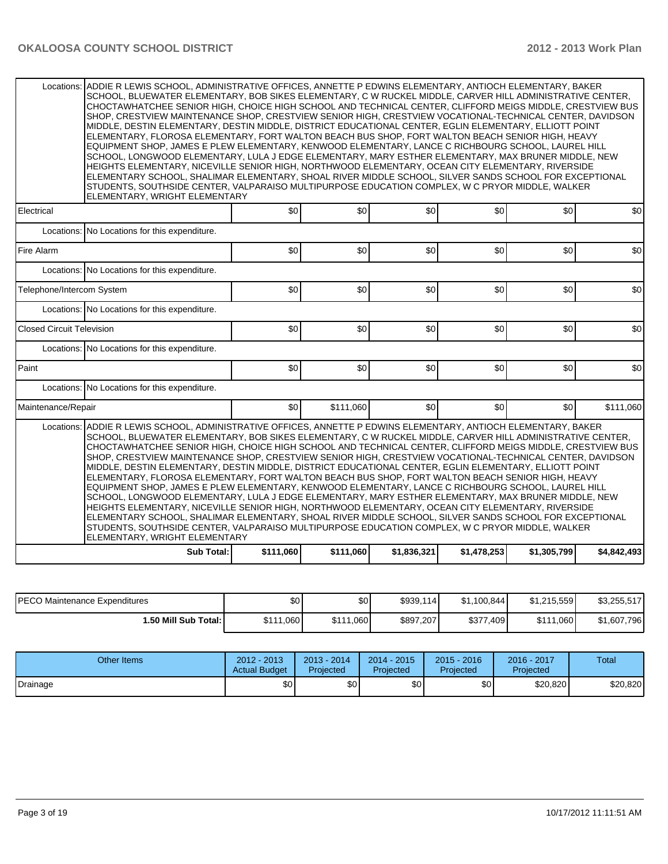|                                                                                                                                                                                                                                                                                                                                                                                                                                                                                                                                                                                                                                                                                                                                                                                                                                                                                                                                                                                                                                                                                                                                                                                                                                        | Locations: ADDIE R LEWIS SCHOOL, ADMINISTRATIVE OFFICES, ANNETTE P EDWINS ELEMENTARY, ANTIOCH ELEMENTARY, BAKER<br>SCHOOL, BLUEWATER ELEMENTARY, BOB SIKES ELEMENTARY, C W RUCKEL MIDDLE, CARVER HILL ADMINISTRATIVE CENTER,<br>CHOCTAWHATCHEE SENIOR HIGH, CHOICE HIGH SCHOOL AND TECHNICAL CENTER, CLIFFORD MEIGS MIDDLE, CRESTVIEW BUS<br>SHOP, CRESTVIEW MAINTENANCE SHOP, CRESTVIEW SENIOR HIGH, CRESTVIEW VOCATIONAL-TECHNICAL CENTER, DAVIDSON<br>MIDDLE, DESTIN ELEMENTARY, DESTIN MIDDLE, DISTRICT EDUCATIONAL CENTER, EGLIN ELEMENTARY, ELLIOTT POINT<br>ELEMENTARY, FLOROSA ELEMENTARY, FORT WALTON BEACH BUS SHOP, FORT WALTON BEACH SENIOR HIGH, HEAVY<br>EQUIPMENT SHOP, JAMES E PLEW ELEMENTARY, KENWOOD ELEMENTARY, LANCE C RICHBOURG SCHOOL, LAUREL HILL<br>SCHOOL, LONGWOOD ELEMENTARY, LULA J EDGE ELEMENTARY, MARY ESTHER ELEMENTARY, MAX BRUNER MIDDLE, NEW<br>HEIGHTS ELEMENTARY, NICEVILLE SENIOR HIGH, NORTHWOOD ELEMENTARY, OCEAN CITY ELEMENTARY, RIVERSIDE<br>ELEMENTARY SCHOOL, SHALIMAR ELEMENTARY, SHOAL RIVER MIDDLE SCHOOL, SILVER SANDS SCHOOL FOR EXCEPTIONAL<br>STUDENTS, SOUTHSIDE CENTER, VALPARAISO MULTIPURPOSE EDUCATION COMPLEX, W C PRYOR MIDDLE, WALKER<br>ELEMENTARY, WRIGHT ELEMENTARY |           |           |             |             |                  |             |  |  |  |  |
|----------------------------------------------------------------------------------------------------------------------------------------------------------------------------------------------------------------------------------------------------------------------------------------------------------------------------------------------------------------------------------------------------------------------------------------------------------------------------------------------------------------------------------------------------------------------------------------------------------------------------------------------------------------------------------------------------------------------------------------------------------------------------------------------------------------------------------------------------------------------------------------------------------------------------------------------------------------------------------------------------------------------------------------------------------------------------------------------------------------------------------------------------------------------------------------------------------------------------------------|-------------------------------------------------------------------------------------------------------------------------------------------------------------------------------------------------------------------------------------------------------------------------------------------------------------------------------------------------------------------------------------------------------------------------------------------------------------------------------------------------------------------------------------------------------------------------------------------------------------------------------------------------------------------------------------------------------------------------------------------------------------------------------------------------------------------------------------------------------------------------------------------------------------------------------------------------------------------------------------------------------------------------------------------------------------------------------------------------------------------------------------------------------------------------------------------------------------------------------------|-----------|-----------|-------------|-------------|------------------|-------------|--|--|--|--|
| Electrical                                                                                                                                                                                                                                                                                                                                                                                                                                                                                                                                                                                                                                                                                                                                                                                                                                                                                                                                                                                                                                                                                                                                                                                                                             |                                                                                                                                                                                                                                                                                                                                                                                                                                                                                                                                                                                                                                                                                                                                                                                                                                                                                                                                                                                                                                                                                                                                                                                                                                     | \$0       | 30        | \$0         | \$0         | \$0              | \$0         |  |  |  |  |
|                                                                                                                                                                                                                                                                                                                                                                                                                                                                                                                                                                                                                                                                                                                                                                                                                                                                                                                                                                                                                                                                                                                                                                                                                                        | Locations: No Locations for this expenditure.                                                                                                                                                                                                                                                                                                                                                                                                                                                                                                                                                                                                                                                                                                                                                                                                                                                                                                                                                                                                                                                                                                                                                                                       |           |           |             |             |                  |             |  |  |  |  |
| Fire Alarm                                                                                                                                                                                                                                                                                                                                                                                                                                                                                                                                                                                                                                                                                                                                                                                                                                                                                                                                                                                                                                                                                                                                                                                                                             |                                                                                                                                                                                                                                                                                                                                                                                                                                                                                                                                                                                                                                                                                                                                                                                                                                                                                                                                                                                                                                                                                                                                                                                                                                     | \$0       | \$0       | \$0         | \$0         | \$0              | \$0         |  |  |  |  |
|                                                                                                                                                                                                                                                                                                                                                                                                                                                                                                                                                                                                                                                                                                                                                                                                                                                                                                                                                                                                                                                                                                                                                                                                                                        | Locations: No Locations for this expenditure.                                                                                                                                                                                                                                                                                                                                                                                                                                                                                                                                                                                                                                                                                                                                                                                                                                                                                                                                                                                                                                                                                                                                                                                       |           |           |             |             |                  |             |  |  |  |  |
| Telephone/Intercom System                                                                                                                                                                                                                                                                                                                                                                                                                                                                                                                                                                                                                                                                                                                                                                                                                                                                                                                                                                                                                                                                                                                                                                                                              |                                                                                                                                                                                                                                                                                                                                                                                                                                                                                                                                                                                                                                                                                                                                                                                                                                                                                                                                                                                                                                                                                                                                                                                                                                     | \$0       | \$0       | \$0         | \$0         | \$0              | \$0         |  |  |  |  |
|                                                                                                                                                                                                                                                                                                                                                                                                                                                                                                                                                                                                                                                                                                                                                                                                                                                                                                                                                                                                                                                                                                                                                                                                                                        | Locations: No Locations for this expenditure.                                                                                                                                                                                                                                                                                                                                                                                                                                                                                                                                                                                                                                                                                                                                                                                                                                                                                                                                                                                                                                                                                                                                                                                       |           |           |             |             |                  |             |  |  |  |  |
| <b>Closed Circuit Television</b>                                                                                                                                                                                                                                                                                                                                                                                                                                                                                                                                                                                                                                                                                                                                                                                                                                                                                                                                                                                                                                                                                                                                                                                                       |                                                                                                                                                                                                                                                                                                                                                                                                                                                                                                                                                                                                                                                                                                                                                                                                                                                                                                                                                                                                                                                                                                                                                                                                                                     | \$0       | \$0       | \$0         | \$0         | \$0              | \$0         |  |  |  |  |
|                                                                                                                                                                                                                                                                                                                                                                                                                                                                                                                                                                                                                                                                                                                                                                                                                                                                                                                                                                                                                                                                                                                                                                                                                                        | Locations: No Locations for this expenditure.                                                                                                                                                                                                                                                                                                                                                                                                                                                                                                                                                                                                                                                                                                                                                                                                                                                                                                                                                                                                                                                                                                                                                                                       |           |           |             |             |                  |             |  |  |  |  |
| Paint                                                                                                                                                                                                                                                                                                                                                                                                                                                                                                                                                                                                                                                                                                                                                                                                                                                                                                                                                                                                                                                                                                                                                                                                                                  |                                                                                                                                                                                                                                                                                                                                                                                                                                                                                                                                                                                                                                                                                                                                                                                                                                                                                                                                                                                                                                                                                                                                                                                                                                     | \$0       | \$0       | \$0         | \$0         | \$0              | \$0         |  |  |  |  |
|                                                                                                                                                                                                                                                                                                                                                                                                                                                                                                                                                                                                                                                                                                                                                                                                                                                                                                                                                                                                                                                                                                                                                                                                                                        | Locations: No Locations for this expenditure.                                                                                                                                                                                                                                                                                                                                                                                                                                                                                                                                                                                                                                                                                                                                                                                                                                                                                                                                                                                                                                                                                                                                                                                       |           |           |             |             |                  |             |  |  |  |  |
| Maintenance/Repair                                                                                                                                                                                                                                                                                                                                                                                                                                                                                                                                                                                                                                                                                                                                                                                                                                                                                                                                                                                                                                                                                                                                                                                                                     |                                                                                                                                                                                                                                                                                                                                                                                                                                                                                                                                                                                                                                                                                                                                                                                                                                                                                                                                                                                                                                                                                                                                                                                                                                     | \$0       | \$111,060 | \$0         | \$0         | \$0 <sub>l</sub> | \$111,060   |  |  |  |  |
| ADDIE R LEWIS SCHOOL, ADMINISTRATIVE OFFICES, ANNETTE P EDWINS ELEMENTARY, ANTIOCH ELEMENTARY, BAKER<br>Locations:<br>SCHOOL, BLUEWATER ELEMENTARY, BOB SIKES ELEMENTARY, C W RUCKEL MIDDLE, CARVER HILL ADMINISTRATIVE CENTER,<br>CHOCTAWHATCHEE SENIOR HIGH, CHOICE HIGH SCHOOL AND TECHNICAL CENTER, CLIFFORD MEIGS MIDDLE, CRESTVIEW BUS<br>SHOP, CRESTVIEW MAINTENANCE SHOP, CRESTVIEW SENIOR HIGH, CRESTVIEW VOCATIONAL-TECHNICAL CENTER, DAVIDSON<br>MIDDLE, DESTIN ELEMENTARY, DESTIN MIDDLE, DISTRICT EDUCATIONAL CENTER, EGLIN ELEMENTARY, ELLIOTT POINT<br>ELEMENTARY, FLOROSA ELEMENTARY, FORT WALTON BEACH BUS SHOP, FORT WALTON BEACH SENIOR HIGH, HEAVY<br>EQUIPMENT SHOP, JAMES E PLEW ELEMENTARY, KENWOOD ELEMENTARY, LANCE C RICHBOURG SCHOOL, LAUREL HILL<br>SCHOOL, LONGWOOD ELEMENTARY, LULA J EDGE ELEMENTARY, MARY ESTHER ELEMENTARY, MAX BRUNER MIDDLE, NEW<br>HEIGHTS ELEMENTARY. NICEVILLE SENIOR HIGH. NORTHWOOD ELEMENTARY. OCEAN CITY ELEMENTARY. RIVERSIDE<br>ELEMENTARY SCHOOL, SHALIMAR ELEMENTARY, SHOAL RIVER MIDDLE SCHOOL, SILVER SANDS SCHOOL FOR EXCEPTIONAL<br>STUDENTS, SOUTHSIDE CENTER, VALPARAISO MULTIPURPOSE EDUCATION COMPLEX, W C PRYOR MIDDLE, WALKER<br>ELEMENTARY, WRIGHT ELEMENTARY |                                                                                                                                                                                                                                                                                                                                                                                                                                                                                                                                                                                                                                                                                                                                                                                                                                                                                                                                                                                                                                                                                                                                                                                                                                     |           |           |             |             |                  |             |  |  |  |  |
|                                                                                                                                                                                                                                                                                                                                                                                                                                                                                                                                                                                                                                                                                                                                                                                                                                                                                                                                                                                                                                                                                                                                                                                                                                        | <b>Sub Total:</b>                                                                                                                                                                                                                                                                                                                                                                                                                                                                                                                                                                                                                                                                                                                                                                                                                                                                                                                                                                                                                                                                                                                                                                                                                   | \$111,060 | \$111,060 | \$1,836,321 | \$1,478,253 | \$1,305,799      | \$4,842,493 |  |  |  |  |

| <b>IPECO Maintenance Expenditures</b> | \$0       | \$0       | \$939,114 | \$1,100,844     | \$1.215.559   | \$3,255,517 |
|---------------------------------------|-----------|-----------|-----------|-----------------|---------------|-------------|
| 1.50 Mill Sub Total: I                | \$111,060 | \$111,060 | \$897,207 | \$377,<br>7,409 | \$111<br>,060 | \$1,607,796 |

| Other Items | 2012 - 2013<br><b>Actual Budget</b> | $2013 - 2014$<br>Projected | $2014 - 2015$<br>Projected | $2015 - 2016$<br>Projected | 2016 - 2017<br>Projected | Total    |
|-------------|-------------------------------------|----------------------------|----------------------------|----------------------------|--------------------------|----------|
| Drainage    | \$0                                 | \$0                        | \$0                        | \$0                        | \$20,820                 | \$20,820 |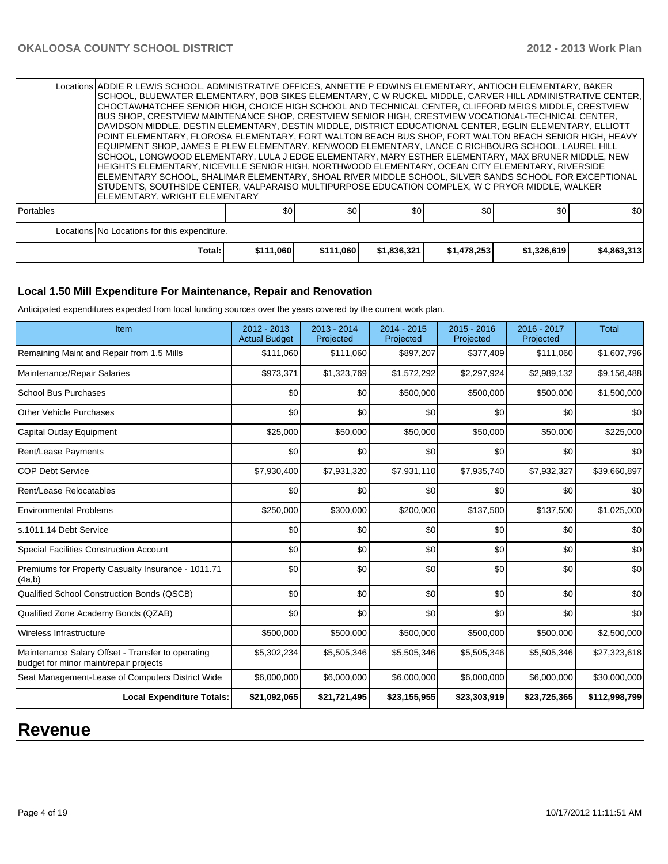|                  | Locations ADDIE R LEWIS SCHOOL, ADMINISTRATIVE OFFICES, ANNETTE P EDWINS ELEMENTARY, ANTIOCH ELEMENTARY, BAKER<br>SCHOOL, BLUEWATER ELEMENTARY, BOB SIKES ELEMENTARY, C W RUCKEL MIDDLE, CARVER HILL ADMINISTRATIVE CENTER.<br>CHOCTAWHATCHEE SENIOR HIGH, CHOICE HIGH SCHOOL AND TECHNICAL CENTER, CLIFFORD MEIGS MIDDLE, CRESTVIEW<br>BUS SHOP, CRESTVIEW MAINTENANCE SHOP, CRESTVIEW SENIOR HIGH, CRESTVIEW VOCATIONAL-TECHNICAL CENTER,<br>IDAVIDSON MIDDLE. DESTIN ELEMENTARY. DESTIN MIDDLE. DISTRICT EDUCATIONAL CENTER. EGLIN ELEMENTARY. ELLIOTT<br>POINT ELEMENTARY, FLOROSA ELEMENTARY, FORT WALTON BEACH BUS SHOP, FORT WALTON BEACH SENIOR HIGH, HEAVY<br>EQUIPMENT SHOP, JAMES E PLEW ELEMENTARY, KENWOOD ELEMENTARY, LANCE C RICHBOURG SCHOOL, LAUREL HILL<br>ISCHOOL. LONGWOOD ELEMENTARY. LULA J EDGE ELEMENTARY. MARY ESTHER ELEMENTARY. MAX BRUNER MIDDLE. NEW<br>HEIGHTS ELEMENTARY, NICEVILLE SENIOR HIGH, NORTHWOOD ELEMENTARY, OCEAN CITY ELEMENTARY, RIVERSIDE<br> ELEMENTARY SCHOOL, SHALIMAR ELEMENTARY, SHOAL RIVER MIDDLE SCHOOL, SILVER SANDS SCHOOL FOR EXCEPTIONAL<br>STUDENTS, SOUTHSIDE CENTER, VALPARAISO MULTIPURPOSE EDUCATION COMPLEX, W C PRYOR MIDDLE, WALKER<br>ELEMENTARY, WRIGHT ELEMENTARY |           |           |             |             |             |             |  |  |  |
|------------------|---------------------------------------------------------------------------------------------------------------------------------------------------------------------------------------------------------------------------------------------------------------------------------------------------------------------------------------------------------------------------------------------------------------------------------------------------------------------------------------------------------------------------------------------------------------------------------------------------------------------------------------------------------------------------------------------------------------------------------------------------------------------------------------------------------------------------------------------------------------------------------------------------------------------------------------------------------------------------------------------------------------------------------------------------------------------------------------------------------------------------------------------------------------------------------------------------------------------------------------|-----------|-----------|-------------|-------------|-------------|-------------|--|--|--|
| <b>Portables</b> |                                                                                                                                                                                                                                                                                                                                                                                                                                                                                                                                                                                                                                                                                                                                                                                                                                                                                                                                                                                                                                                                                                                                                                                                                                       | \$0       | \$0       | \$0         | \$0         | \$0         | \$0         |  |  |  |
|                  | Locations No Locations for this expenditure.                                                                                                                                                                                                                                                                                                                                                                                                                                                                                                                                                                                                                                                                                                                                                                                                                                                                                                                                                                                                                                                                                                                                                                                          |           |           |             |             |             |             |  |  |  |
|                  | Total:                                                                                                                                                                                                                                                                                                                                                                                                                                                                                                                                                                                                                                                                                                                                                                                                                                                                                                                                                                                                                                                                                                                                                                                                                                | \$111,060 | \$111,060 | \$1,836,321 | \$1,478,253 | \$1,326,619 | \$4,863,313 |  |  |  |

### **Local 1.50 Mill Expenditure For Maintenance, Repair and Renovation**

Anticipated expenditures expected from local funding sources over the years covered by the current work plan.

| Item                                                                                        | 2012 - 2013<br><b>Actual Budget</b> | $2013 - 2014$<br>Projected | $2014 - 2015$<br>Projected | 2015 - 2016<br>Projected | 2016 - 2017<br>Projected | <b>Total</b>  |
|---------------------------------------------------------------------------------------------|-------------------------------------|----------------------------|----------------------------|--------------------------|--------------------------|---------------|
| Remaining Maint and Repair from 1.5 Mills                                                   | \$111,060                           | \$111,060                  | \$897,207                  | \$377,409                | \$111,060                | \$1,607,796   |
| Maintenance/Repair Salaries                                                                 | \$973,371                           | \$1,323,769                | \$1,572,292                | \$2,297,924              | \$2,989,132              | \$9,156,488   |
| <b>School Bus Purchases</b>                                                                 | \$0                                 | \$0                        | \$500,000                  | \$500,000                | \$500,000                | \$1,500,000   |
| <b>Other Vehicle Purchases</b>                                                              | \$0                                 | \$0                        | \$0                        | \$0                      | \$0                      | \$0           |
| Capital Outlay Equipment                                                                    | \$25,000                            | \$50,000                   | \$50,000                   | \$50,000                 | \$50,000                 | \$225,000     |
| Rent/Lease Payments                                                                         | \$0                                 | \$0                        | \$0                        | \$0                      | \$0                      | \$0           |
| <b>COP Debt Service</b>                                                                     | \$7,930,400                         | \$7,931,320                | \$7,931,110                | \$7,935,740              | \$7,932,327              | \$39,660,897  |
| Rent/Lease Relocatables                                                                     | \$0                                 | \$0                        | \$0                        | \$0                      | \$0                      | \$0           |
| <b>Environmental Problems</b>                                                               | \$250,000                           | \$300,000                  | \$200,000                  | \$137,500                | \$137,500                | \$1,025,000   |
| s.1011.14 Debt Service                                                                      | \$0                                 | \$0                        | \$0                        | \$0                      | \$0                      | \$0           |
| <b>Special Facilities Construction Account</b>                                              | \$0                                 | \$0                        | \$0                        | \$0                      | \$0                      | \$0           |
| Premiums for Property Casualty Insurance - 1011.71<br>(4a,b)                                | \$0                                 | \$0                        | \$0                        | \$0                      | \$0                      | \$0           |
| Qualified School Construction Bonds (QSCB)                                                  | \$0                                 | \$0                        | \$0                        | \$0                      | \$0                      | \$0           |
| Qualified Zone Academy Bonds (QZAB)                                                         | \$0                                 | \$0                        | \$0                        | \$0                      | \$0                      | \$0           |
| Wireless Infrastructure                                                                     | \$500,000                           | \$500,000                  | \$500,000                  | \$500,000                | \$500,000                | \$2,500,000   |
| Maintenance Salary Offset - Transfer to operating<br>budget for minor maint/repair projects | \$5,302,234                         | \$5,505,346                | \$5,505,346                | \$5,505,346              | \$5,505,346              | \$27,323,618  |
| Seat Management-Lease of Computers District Wide                                            | \$6,000,000                         | \$6,000,000                | \$6,000,000                | \$6,000,000              | \$6,000,000              | \$30,000,000  |
| <b>Local Expenditure Totals:</b>                                                            | \$21,092,065                        | \$21,721,495               | \$23,155,955               | \$23,303,919             | \$23,725,365             | \$112,998,799 |

## **Revenue**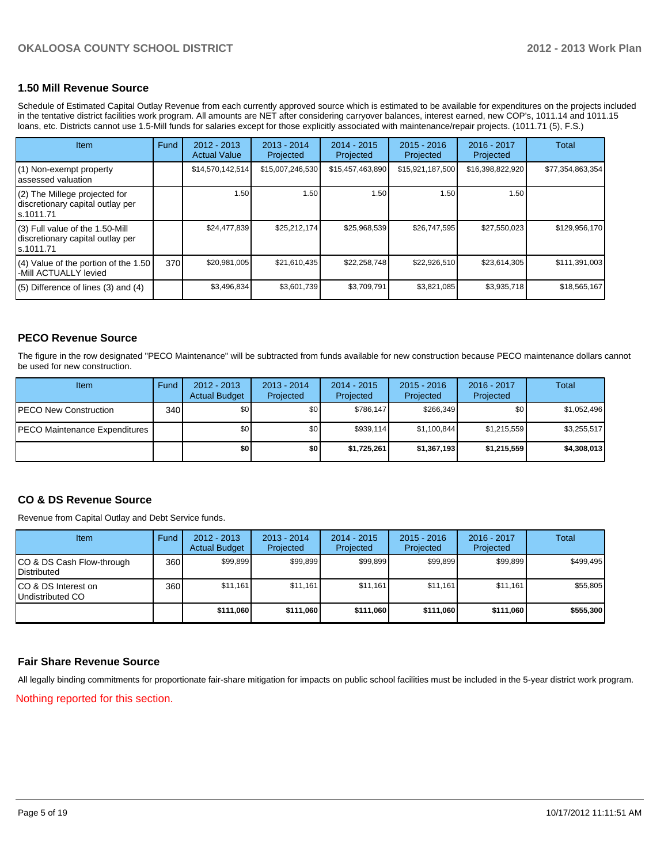## **1.50 Mill Revenue Source**

Schedule of Estimated Capital Outlay Revenue from each currently approved source which is estimated to be available for expenditures on the projects included in the tentative district facilities work program. All amounts are NET after considering carryover balances, interest earned, new COP's, 1011.14 and 1011.15 loans, etc. Districts cannot use 1.5-Mill funds for salaries except for those explicitly associated with maintenance/repair projects. (1011.71 (5), F.S.)

| <b>Item</b>                                                                       | Fund | $2012 - 2013$<br><b>Actual Value</b> | $2013 - 2014$<br>Projected | $2014 - 2015$<br>Projected | $2015 - 2016$<br>Projected | $2016 - 2017$<br>Projected | Total            |
|-----------------------------------------------------------------------------------|------|--------------------------------------|----------------------------|----------------------------|----------------------------|----------------------------|------------------|
| (1) Non-exempt property<br>assessed valuation                                     |      | \$14,570,142,514                     | \$15,007,246,530           | \$15,457,463,890           | \$15,921,187,500           | \$16,398,822,920           | \$77,354,863,354 |
| (2) The Millege projected for<br>discretionary capital outlay per<br>ls.1011.71   |      | 1.50                                 | 1.50                       | 1.50                       | 1.50                       | 1.50                       |                  |
| (3) Full value of the 1.50-Mill<br>discretionary capital outlay per<br>ls.1011.71 |      | \$24,477,839                         | \$25,212,174               | \$25,968,539               | \$26,747,595               | \$27,550,023               | \$129,956,170    |
| $(4)$ Value of the portion of the 1.50<br>-Mill ACTUALLY levied                   | 370  | \$20,981,005                         | \$21,610,435               | \$22,258,748               | \$22,926,510               | \$23,614,305               | \$111,391,003    |
| $(5)$ Difference of lines (3) and (4)                                             |      | \$3,496,834                          | \$3,601,739                | \$3,709,791                | \$3,821,085                | \$3,935,718                | \$18,565,167     |

### **PECO Revenue Source**

The figure in the row designated "PECO Maintenance" will be subtracted from funds available for new construction because PECO maintenance dollars cannot be used for new construction.

| <b>Item</b>                           | Fund | $2012 - 2013$<br><b>Actual Budget</b> | $2013 - 2014$<br>Projected | 2014 - 2015<br>Projected | $2015 - 2016$<br>Projected | $2016 - 2017$<br>Projected | Total       |
|---------------------------------------|------|---------------------------------------|----------------------------|--------------------------|----------------------------|----------------------------|-------------|
| <b>PECO New Construction</b>          | 340  | \$0                                   | \$0                        | \$786,147                | \$266.349                  | \$0 I                      | \$1,052,496 |
| <b>IPECO Maintenance Expenditures</b> |      | \$0                                   | \$0                        | \$939,114                | \$1,100,844                | \$1,215,559                | \$3,255,517 |
|                                       |      | \$O I                                 | \$0                        | \$1,725,261              | \$1,367,193                | \$1,215,559                | \$4,308,013 |

#### **CO & DS Revenue Source**

Revenue from Capital Outlay and Debt Service funds.

| Item                                               | Fund | $2012 - 2013$<br><b>Actual Budget</b> | $2013 - 2014$<br>Projected | $2014 - 2015$<br>Projected | $2015 - 2016$<br>Projected | $2016 - 2017$<br>Projected | Total     |
|----------------------------------------------------|------|---------------------------------------|----------------------------|----------------------------|----------------------------|----------------------------|-----------|
| ICO & DS Cash Flow-through<br><b>I</b> Distributed | 360  | \$99.899                              | \$99.899                   | \$99.899                   | \$99.899                   | \$99,899                   | \$499.495 |
| ICO & DS Interest on<br>Undistributed CO           | 360  | \$11,161                              | \$11,161                   | \$11,161                   | \$11,161                   | \$11,161                   | \$55,805  |
|                                                    |      | \$111,060                             | \$111,060                  | \$111,060                  | \$111,060                  | \$111,060                  | \$555,300 |

#### **Fair Share Revenue Source**

All legally binding commitments for proportionate fair-share mitigation for impacts on public school facilities must be included in the 5-year district work program.

Nothing reported for this section.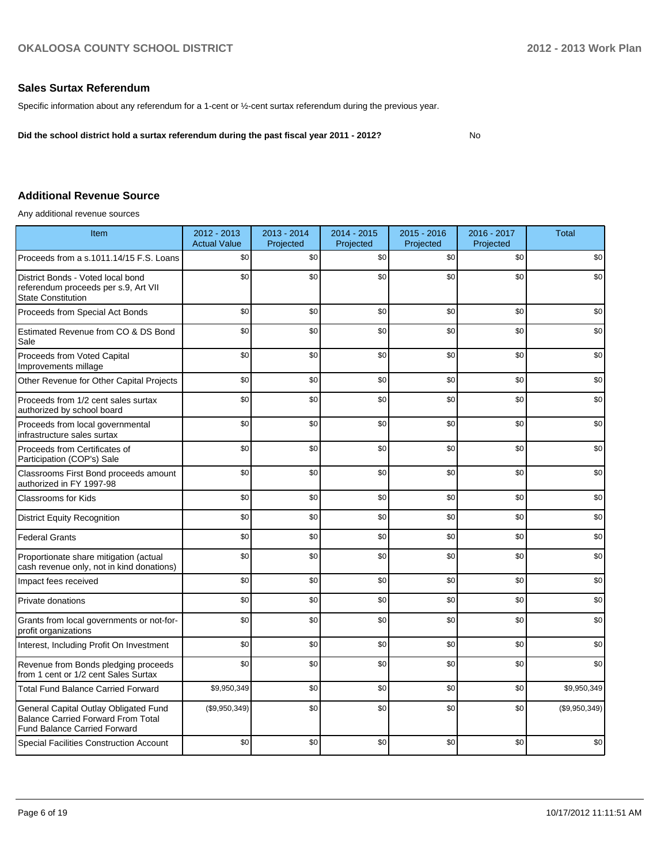### **Sales Surtax Referendum**

Specific information about any referendum for a 1-cent or ½-cent surtax referendum during the previous year.

**Did the school district hold a surtax referendum during the past fiscal year 2011 - 2012?**

No

## **Additional Revenue Source**

Any additional revenue sources

| <b>Item</b>                                                                                                               | 2012 - 2013<br><b>Actual Value</b> | 2013 - 2014<br>Projected | 2014 - 2015<br>Projected | $2015 - 2016$<br>Projected | 2016 - 2017<br>Projected | <b>Total</b>  |
|---------------------------------------------------------------------------------------------------------------------------|------------------------------------|--------------------------|--------------------------|----------------------------|--------------------------|---------------|
| Proceeds from a s.1011.14/15 F.S. Loans                                                                                   | \$0                                | \$0                      | \$0                      | \$0                        | \$0                      | \$0           |
| District Bonds - Voted local bond<br>referendum proceeds per s.9, Art VII<br><b>State Constitution</b>                    | \$0                                | \$0                      | \$0                      | \$0                        | \$0                      | \$0           |
| Proceeds from Special Act Bonds                                                                                           | \$0                                | \$0                      | \$0                      | \$0                        | \$0                      | \$0           |
| Estimated Revenue from CO & DS Bond<br>Sale                                                                               | \$0                                | \$0                      | \$0                      | \$0                        | \$0                      | \$0           |
| Proceeds from Voted Capital<br>Improvements millage                                                                       | \$0                                | \$0                      | \$0                      | \$0                        | \$0                      | \$0           |
| Other Revenue for Other Capital Projects                                                                                  | \$0                                | \$0                      | \$0                      | \$0                        | \$0                      | \$0           |
| Proceeds from 1/2 cent sales surtax<br>authorized by school board                                                         | \$0                                | \$0                      | \$0                      | \$0                        | \$0                      | \$0           |
| Proceeds from local governmental<br>infrastructure sales surtax                                                           | \$0                                | \$0                      | \$0                      | \$0                        | \$0                      | \$0           |
| Proceeds from Certificates of<br>Participation (COP's) Sale                                                               | \$0                                | \$0                      | \$0                      | \$0                        | \$0                      | \$0           |
| Classrooms First Bond proceeds amount<br>authorized in FY 1997-98                                                         | \$0                                | \$0                      | \$0                      | \$0                        | \$0                      | \$0           |
| <b>Classrooms for Kids</b>                                                                                                | \$0                                | \$0                      | \$0                      | \$0                        | \$0                      | \$0           |
| <b>District Equity Recognition</b>                                                                                        | \$0                                | \$0                      | \$0                      | \$0                        | \$0                      | \$0           |
| <b>Federal Grants</b>                                                                                                     | \$0                                | \$0                      | \$0                      | \$0                        | \$0                      | \$0           |
| Proportionate share mitigation (actual<br>cash revenue only, not in kind donations)                                       | \$0                                | \$0                      | \$0                      | \$0                        | \$0                      | \$0           |
| Impact fees received                                                                                                      | \$0                                | \$0                      | \$0                      | \$0                        | \$0                      | \$0           |
| Private donations                                                                                                         | \$0                                | \$0                      | \$0                      | \$0                        | \$0                      | \$0           |
| Grants from local governments or not-for-<br>profit organizations                                                         | \$0                                | \$0                      | \$0                      | \$0                        | \$0                      | \$0           |
| Interest, Including Profit On Investment                                                                                  | \$0                                | \$0                      | \$0                      | \$0                        | \$0                      | \$0           |
| Revenue from Bonds pledging proceeds<br>from 1 cent or 1/2 cent Sales Surtax                                              | \$0                                | \$0                      | \$0                      | \$0                        | \$0                      | \$0           |
| <b>Total Fund Balance Carried Forward</b>                                                                                 | \$9,950,349                        | \$0                      | \$0                      | \$0                        | \$0                      | \$9,950,349   |
| General Capital Outlay Obligated Fund<br><b>Balance Carried Forward From Total</b><br><b>Fund Balance Carried Forward</b> | (\$9,950,349)                      | \$0                      | \$0                      | \$0                        | \$0                      | (\$9,950,349) |
| <b>Special Facilities Construction Account</b>                                                                            | \$0                                | \$0                      | \$0                      | \$0                        | \$0                      | \$0           |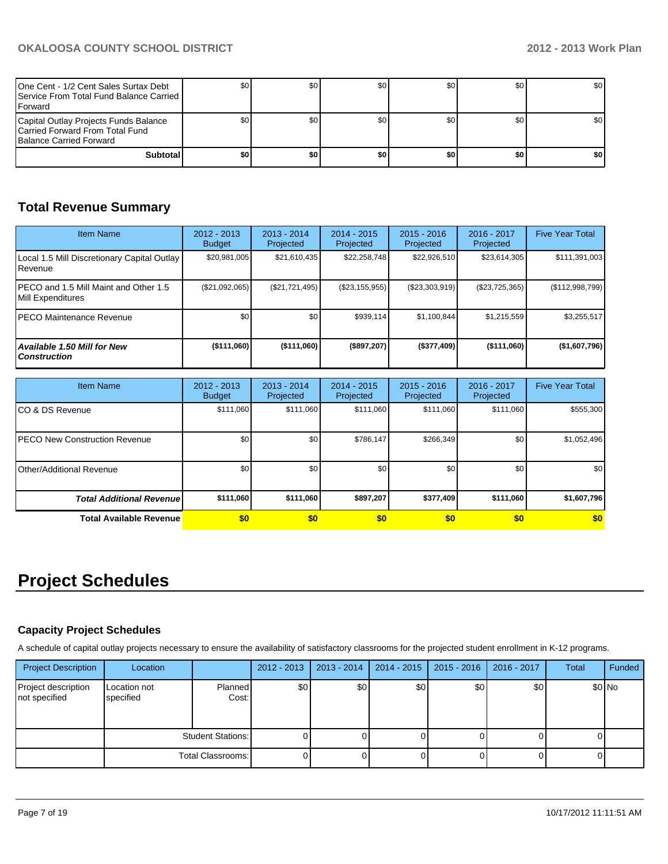| One Cent - 1/2 Cent Sales Surtax Debt<br><b>I</b> Service From Total Fund Balance Carried I<br><b>IForward</b> |     | \$0 | \$0 | SO I | \$0   | <b>SO</b> I      |
|----------------------------------------------------------------------------------------------------------------|-----|-----|-----|------|-------|------------------|
| Capital Outlay Projects Funds Balance<br>Carried Forward From Total Fund<br><b>Balance Carried Forward</b>     |     |     | \$0 | SO I | \$0   | \$0 <sub>1</sub> |
| <b>Subtotal</b>                                                                                                | \$0 | \$0 | \$0 | \$0  | \$0 I | \$0              |

## **Total Revenue Summary**

| <b>Item Name</b>                                            | $2012 - 2013$<br><b>Budget</b> | $2013 - 2014$<br>Projected | $2014 - 2015$<br>Projected | $2015 - 2016$<br>Projected | $2016 - 2017$<br>Projected | <b>Five Year Total</b> |
|-------------------------------------------------------------|--------------------------------|----------------------------|----------------------------|----------------------------|----------------------------|------------------------|
| Local 1.5 Mill Discretionary Capital Outlay<br>l Revenue    | \$20,981,005                   | \$21,610,435               | \$22,258,748               | \$22,926,510               | \$23,614,305               | \$111,391,003          |
| IPECO and 1.5 Mill Maint and Other 1.5<br>Mill Expenditures | (\$21,092,065)                 | (\$21,721,495)             | $(\$23, 155, 955)$         | (S23, 303, 919)            | (\$23,725,365)             | (\$112,998,799)        |
| IPECO Maintenance Revenue                                   | \$0 <sub>1</sub>               | \$0 <sub>1</sub>           | \$939,114                  | \$1.100.844                | \$1,215,559                | \$3,255,517            |
| <b>Available 1.50 Mill for New</b><br><b>Construction</b>   | $($ \$111,060)                 | $($ \$111,060)             | (\$897,207)                | (\$377,409)                | ( \$111,060]               | (\$1,607,796)          |

| <b>Item Name</b>                     | $2012 - 2013$<br><b>Budget</b> | $2013 - 2014$<br>Projected | $2014 - 2015$<br>Projected | $2015 - 2016$<br>Projected | 2016 - 2017<br>Projected | <b>Five Year Total</b> |
|--------------------------------------|--------------------------------|----------------------------|----------------------------|----------------------------|--------------------------|------------------------|
| ICO & DS Revenue                     | \$111,060                      | \$111,060                  | \$111,060                  | \$111,060                  | \$111,060                | \$555,300              |
| <b>PECO New Construction Revenue</b> | \$0 <sub>1</sub>               | \$0                        | \$786,147                  | \$266,349                  | \$0                      | \$1,052,496            |
| Other/Additional Revenue             | \$0                            | \$0                        | \$0                        | \$0                        | \$0                      | \$0                    |
| <b>Total Additional Revenuel</b>     | \$111,060                      | \$111,060                  | \$897,207                  | \$377,409                  | \$111,060                | \$1,607,796            |
| <b>Total Available Revenue</b>       | \$0                            | \$0                        | \$0                        | \$0                        | \$0                      | \$0                    |

# **Project Schedules**

## **Capacity Project Schedules**

A schedule of capital outlay projects necessary to ensure the availability of satisfactory classrooms for the projected student enrollment in K-12 programs.

| <b>Project Description</b>           | Location                         |                         | $2012 - 2013$ | $2013 - 2014$ | 2014 - 2015 | $2015 - 2016$ | 2016 - 2017 | Total | Funded  |
|--------------------------------------|----------------------------------|-------------------------|---------------|---------------|-------------|---------------|-------------|-------|---------|
| Project description<br>not specified | <b>Location not</b><br>specified | <b>Planned</b><br>Cost: | \$0           | \$0           | \$0         | \$0           | \$0         |       | $$0$ No |
|                                      | <b>Student Stations:</b>         |                         |               |               |             |               |             |       |         |
|                                      |                                  | Total Classrooms:       |               |               |             |               |             |       |         |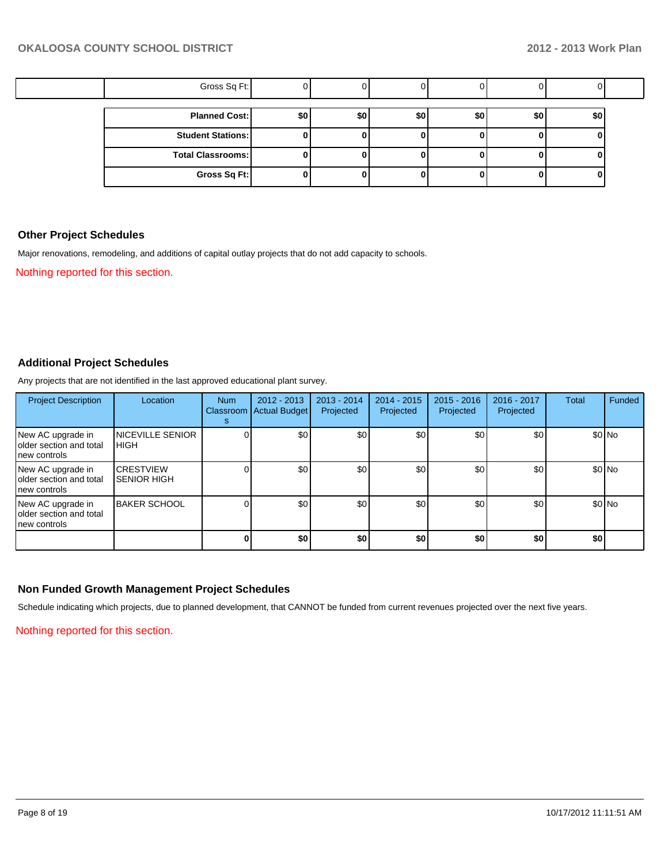| Gross Sq Ft:             |     |     |     |     |     |     |  |
|--------------------------|-----|-----|-----|-----|-----|-----|--|
| <b>Planned Cost:</b>     | \$0 | \$0 | \$0 | \$0 | \$0 | \$0 |  |
| <b>Student Stations:</b> |     |     |     |     |     |     |  |
| Total Classrooms:        |     |     |     |     |     |     |  |
| Gross Sq Ft:             |     |     |     |     |     |     |  |

### **Other Project Schedules**

Major renovations, remodeling, and additions of capital outlay projects that do not add capacity to schools.

Nothing reported for this section.

### **Additional Project Schedules**

Any projects that are not identified in the last approved educational plant survey.

| <b>Project Description</b>                                     | Location                                | <b>Num</b><br>s | $2012 - 2013$<br>Classroom   Actual Budget | $2013 - 2014$<br>Projected | $2014 - 2015$<br>Projected | $2015 - 2016$<br>Projected | 2016 - 2017<br>Projected | Total | Funded  |
|----------------------------------------------------------------|-----------------------------------------|-----------------|--------------------------------------------|----------------------------|----------------------------|----------------------------|--------------------------|-------|---------|
| New AC upgrade in<br>older section and total<br>Inew controls  | <b>INICEVILLE SENIOR</b><br><b>HIGH</b> |                 | \$0                                        | \$0                        | \$0                        | \$0                        | \$0                      |       | $$0$ No |
| New AC upgrade in<br>Iolder section and total<br>Inew controls | <b>CRESTVIEW</b><br><b>SENIOR HIGH</b>  |                 | \$0                                        | \$0                        | \$0                        | \$0                        | \$0                      |       | \$0 No  |
| New AC upgrade in<br>Iolder section and total<br>Inew controls | <b>BAKER SCHOOL</b>                     |                 | \$0                                        | \$0                        | \$0                        | \$0 <sub>1</sub>           | \$0                      |       | $$0$ No |
|                                                                |                                         |                 | \$0                                        | \$0                        | \$0                        | \$0                        | \$0                      | \$0   |         |

## **Non Funded Growth Management Project Schedules**

Schedule indicating which projects, due to planned development, that CANNOT be funded from current revenues projected over the next five years.

Nothing reported for this section.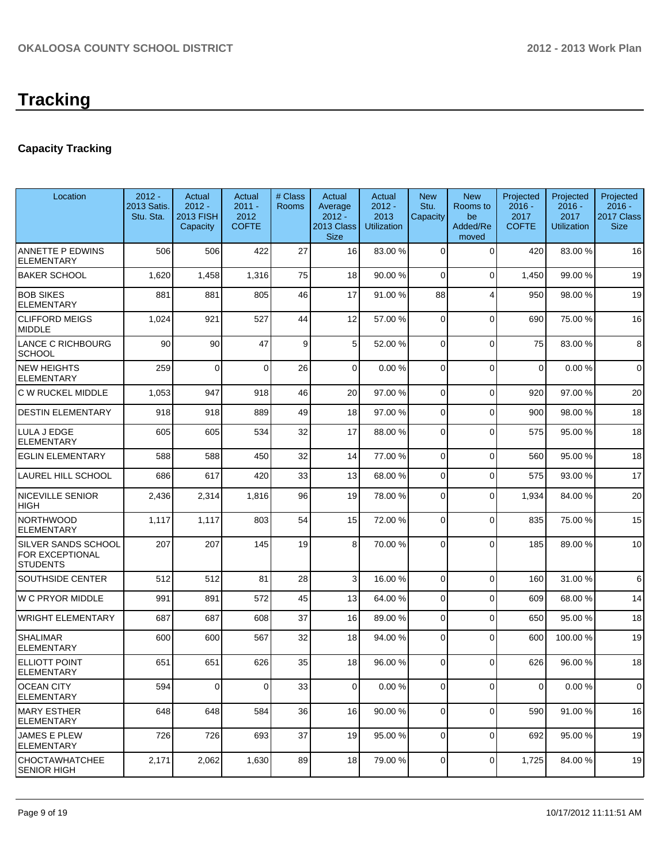# **Tracking**

## **Capacity Tracking**

| Location                                                  | $2012 -$<br>2013 Satis.<br>Stu. Sta. | Actual<br>$2012 -$<br><b>2013 FISH</b><br>Capacity | Actual<br>$2011 -$<br>2012<br><b>COFTE</b> | # Class<br><b>Rooms</b> | Actual<br>Average<br>$2012 -$<br>2013 Class<br><b>Size</b> | Actual<br>$2012 -$<br>2013<br>Utilization | <b>New</b><br>Stu.<br>Capacity | <b>New</b><br>Rooms to<br>be<br>Added/Re<br>moved | Projected<br>$2016 -$<br>2017<br><b>COFTE</b> | Projected<br>$2016 -$<br>2017<br><b>Utilization</b> | Projected<br>$2016 -$<br>2017 Class<br><b>Size</b> |
|-----------------------------------------------------------|--------------------------------------|----------------------------------------------------|--------------------------------------------|-------------------------|------------------------------------------------------------|-------------------------------------------|--------------------------------|---------------------------------------------------|-----------------------------------------------|-----------------------------------------------------|----------------------------------------------------|
| ANNETTE P EDWINS<br><b>ELEMENTARY</b>                     | 506                                  | 506                                                | 422                                        | 27                      | 16                                                         | 83.00 %                                   | 0                              | $\Omega$                                          | 420                                           | 83.00 %                                             | 16                                                 |
| <b>BAKER SCHOOL</b>                                       | 1,620                                | 1,458                                              | 1,316                                      | 75                      | 18                                                         | 90.00 %                                   | 0                              | $\Omega$                                          | 1,450                                         | 99.00 %                                             | 19                                                 |
| <b>BOB SIKES</b><br><b>ELEMENTARY</b>                     | 881                                  | 881                                                | 805                                        | 46                      | 17                                                         | 91.00 %                                   | 88                             | 4                                                 | 950                                           | 98.00 %                                             | 19                                                 |
| <b>CLIFFORD MEIGS</b><br>MIDDLE                           | 1,024                                | 921                                                | 527                                        | 44                      | 12                                                         | 57.00 %                                   | 0                              | $\Omega$                                          | 690                                           | 75.00 %                                             | 16                                                 |
| LANCE C RICHBOURG<br><b>SCHOOL</b>                        | 90                                   | 90                                                 | 47                                         | 9                       | 5                                                          | 52.00 %                                   | 0                              | $\Omega$                                          | 75                                            | 83.00 %                                             | 8                                                  |
| <b>NEW HEIGHTS</b><br><b>ELEMENTARY</b>                   | 259                                  | $\Omega$                                           | $\Omega$                                   | 26                      | $\Omega$                                                   | 0.00%                                     | 0                              | $\Omega$                                          | $\mathbf 0$                                   | 0.00%                                               | $\mathbf 0$                                        |
| C W RUCKEL MIDDLE                                         | 1,053                                | 947                                                | 918                                        | 46                      | 20                                                         | 97.00 %                                   | $\mathbf 0$                    | $\Omega$                                          | 920                                           | 97.00 %                                             | 20                                                 |
| <b>DESTIN ELEMENTARY</b>                                  | 918                                  | 918                                                | 889                                        | 49                      | 18                                                         | 97.00 %                                   | 0                              | $\Omega$                                          | 900                                           | 98.00 %                                             | 18                                                 |
| LULA J EDGE<br><b>ELEMENTARY</b>                          | 605                                  | 605                                                | 534                                        | 32                      | 17                                                         | 88.00 %                                   | 0                              | $\Omega$                                          | 575                                           | 95.00 %                                             | 18                                                 |
| <b>EGLIN ELEMENTARY</b>                                   | 588                                  | 588                                                | 450                                        | 32                      | 14                                                         | 77.00 %                                   | 0                              | $\Omega$                                          | 560                                           | 95.00 %                                             | 18                                                 |
| LAUREL HILL SCHOOL                                        | 686                                  | 617                                                | 420                                        | 33                      | 13                                                         | 68.00 %                                   | 0                              | $\Omega$                                          | 575                                           | 93.00 %                                             | 17                                                 |
| NICEVILLE SENIOR<br>HIGH                                  | 2,436                                | 2,314                                              | 1,816                                      | 96                      | 19                                                         | 78.00 %                                   | 0                              | $\Omega$                                          | 1,934                                         | 84.00%                                              | 20                                                 |
| <b>NORTHWOOD</b><br><b>ELEMENTARY</b>                     | 1,117                                | 1,117                                              | 803                                        | 54                      | 15                                                         | 72.00 %                                   | $\Omega$                       | $\Omega$                                          | 835                                           | 75.00 %                                             | 15                                                 |
| SILVER SANDS SCHOOL<br>FOR EXCEPTIONAL<br><b>STUDENTS</b> | 207                                  | 207                                                | 145                                        | 19                      | 8 <sup>1</sup>                                             | 70.00 %                                   | $\Omega$                       | $\Omega$                                          | 185                                           | 89.00 %                                             | 10                                                 |
| SOUTHSIDE CENTER                                          | 512                                  | 512                                                | 81                                         | 28                      | $\overline{3}$                                             | 16.00 %                                   | $\Omega$                       | $\Omega$                                          | 160                                           | 31.00%                                              | 6                                                  |
| W C PRYOR MIDDLE                                          | 991                                  | 891                                                | 572                                        | 45                      | 13                                                         | 64.00 %                                   | 0                              | $\Omega$                                          | 609                                           | 68.00 %                                             | 14                                                 |
| <b>WRIGHT ELEMENTARY</b>                                  | 687                                  | 687                                                | 608                                        | 37                      | 16                                                         | 89.00 %                                   | 0                              | $\Omega$                                          | 650                                           | 95.00 %                                             | 18                                                 |
| <b>SHALIMAR</b><br><b>ELEMENTARY</b>                      | 600                                  | 600                                                | 567                                        | 32                      | 18                                                         | 94.00 %                                   | $\Omega$                       | $\Omega$                                          | 600                                           | 100.00%                                             | 19                                                 |
| <b>ELLIOTT POINT</b><br><b>ELEMENTARY</b>                 | 651                                  | 651                                                | 626                                        | 35                      | 18                                                         | 96.00 %                                   | 0                              | $\Omega$                                          | 626                                           | 96.00 %                                             | 18                                                 |
| <b>OCEAN CITY</b><br><b>ELEMENTARY</b>                    | 594                                  | $\mathbf 0$                                        | $\Omega$                                   | 33                      | $\Omega$                                                   | 0.00%                                     | $\mathbf 0$                    | $\mathbf 0$                                       | 0                                             | 0.00%                                               | $\mathbf 0$                                        |
| <b>MARY ESTHER</b><br>ELEMENTARY                          | 648                                  | 648                                                | 584                                        | 36                      | 16                                                         | 90.00 %                                   | 0                              | $\mathbf 0$                                       | 590                                           | 91.00%                                              | 16                                                 |
| <b>JAMES E PLEW</b><br><b>ELEMENTARY</b>                  | 726                                  | 726                                                | 693                                        | 37                      | 19                                                         | 95.00 %                                   | 0                              | $\Omega$                                          | 692                                           | 95.00 %                                             | 19                                                 |
| <b>CHOCTAWHATCHEE</b><br><b>SENIOR HIGH</b>               | 2,171                                | 2,062                                              | 1,630                                      | 89                      | 18                                                         | 79.00 %                                   | 0                              | $\overline{0}$                                    | 1,725                                         | 84.00%                                              | 19                                                 |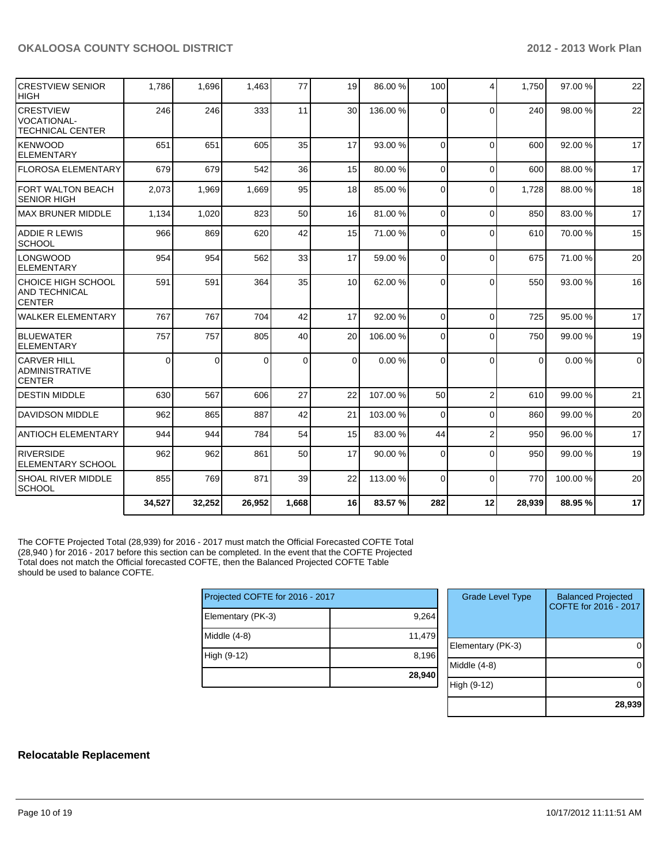| <b>CRESTVIEW SENIOR</b><br><b>HIGH</b>                            | 1,786    | 1,696  | 1,463    | 77    | 19              | 86.00 %  | 100            | $\overline{\mathbf{4}}$ | 1,750    | 97.00%  | 22             |
|-------------------------------------------------------------------|----------|--------|----------|-------|-----------------|----------|----------------|-------------------------|----------|---------|----------------|
| <b>CRESTVIEW</b><br><b>VOCATIONAL-</b><br><b>TECHNICAL CENTER</b> | 246      | 246    | 333      | 11    | 30              | 136.00 % | $\Omega$       | $\Omega$                | 240      | 98.00%  | 22             |
| KENWOOD<br><b>ELEMENTARY</b>                                      | 651      | 651    | 605      | 35    | 17              | 93.00 %  | $\Omega$       | $\Omega$                | 600      | 92.00%  | 17             |
| <b>IFLOROSA ELEMENTARY</b>                                        | 679      | 679    | 542      | 36    | 15              | 80.00 %  | $\Omega$       | $\Omega$                | 600      | 88.00%  | 17             |
| <b>FORT WALTON BEACH</b><br>SENIOR HIGH                           | 2,073    | 1,969  | 1,669    | 95    | 18              | 85.00 %  | $\Omega$       | $\Omega$                | 1,728    | 88.00 % | 18             |
| <b>MAX BRUNER MIDDLE</b>                                          | 1,134    | 1,020  | 823      | 50    | 16              | 81.00 %  | $\Omega$       | $\Omega$                | 850      | 83.00 % | 17             |
| <b>ADDIE R LEWIS</b><br><b>SCHOOL</b>                             | 966      | 869    | 620      | 42    | 15              | 71.00 %  | $\Omega$       | $\Omega$                | 610      | 70.00%  | 15             |
| LONGWOOD<br><b>ELEMENTARY</b>                                     | 954      | 954    | 562      | 33    | 17              | 59.00 %  | $\Omega$       | $\Omega$                | 675      | 71.00%  | 20             |
| CHOICE HIGH SCHOOL<br><b>AND TECHNICAL</b><br><b>CENTER</b>       | 591      | 591    | 364      | 35    | 10 <sup>1</sup> | 62.00 %  | $\Omega$       | $\Omega$                | 550      | 93.00 % | 16             |
| <b>WALKER ELEMENTARY</b>                                          | 767      | 767    | 704      | 42    | 17              | 92.00 %  | $\Omega$       | $\Omega$                | 725      | 95.00 % | 17             |
| <b>BLUEWATER</b><br><b>ELEMENTARY</b>                             | 757      | 757    | 805      | 40    | 20              | 106.00 % | $\Omega$       | $\Omega$                | 750      | 99.00 % | 19             |
| <b>CARVER HILL</b><br><b>ADMINISTRATIVE</b><br><b>CENTER</b>      | $\Omega$ | 0      | $\Omega$ | 0     | $\Omega$        | 0.00%    | $\Omega$       | $\Omega$                | $\Omega$ | 0.00%   | $\overline{0}$ |
| <b>DESTIN MIDDLE</b>                                              | 630      | 567    | 606      | 27    | 22              | 107.00 % | 50             | $\overline{2}$          | 610      | 99.00 % | 21             |
| <b>DAVIDSON MIDDLE</b>                                            | 962      | 865    | 887      | 42    | 21              | 103.00 % | $\overline{0}$ | $\Omega$                | 860      | 99.00 % | 20             |
| <b>ANTIOCH ELEMENTARY</b>                                         | 944      | 944    | 784      | 54    | 15              | 83.00 %  | 44             | $\overline{2}$          | 950      | 96.00%  | 17             |
| <b>RIVERSIDE</b><br><b>ELEMENTARY SCHOOL</b>                      | 962      | 962    | 861      | 50    | 17              | 90.00 %  | $\Omega$       | $\Omega$                | 950      | 99.00 % | 19             |
| <b>SHOAL RIVER MIDDLE</b><br><b>SCHOOL</b>                        | 855      | 769    | 871      | 39    | 22              | 113.00 % | $\Omega$       | $\Omega$                | 770      | 100.00% | 20             |
|                                                                   | 34,527   | 32,252 | 26,952   | 1,668 | 16              | 83.57 %  | 282            | 12                      | 28,939   | 88.95 % | 17             |

The COFTE Projected Total (28,939) for 2016 - 2017 must match the Official Forecasted COFTE Total (28,940 ) for 2016 - 2017 before this section can be completed. In the event that the COFTE Projected Total does not match the Official forecasted COFTE, then the Balanced Projected COFTE Table should be used to balance COFTE.

| Projected COFTE for 2016 - 2017 |        |  |  |  |  |  |
|---------------------------------|--------|--|--|--|--|--|
| Elementary (PK-3)               | 9,264  |  |  |  |  |  |
| Middle (4-8)                    | 11,479 |  |  |  |  |  |
| High (9-12)                     | 8,196  |  |  |  |  |  |
|                                 | 28,940 |  |  |  |  |  |

| <b>Grade Level Type</b> | <b>Balanced Projected</b><br>COFTE for 2016 - 2017 |
|-------------------------|----------------------------------------------------|
| Elementary (PK-3)       |                                                    |
| Middle (4-8)            |                                                    |
| High (9-12)             |                                                    |
|                         | 28,939                                             |

#### **Relocatable Replacement**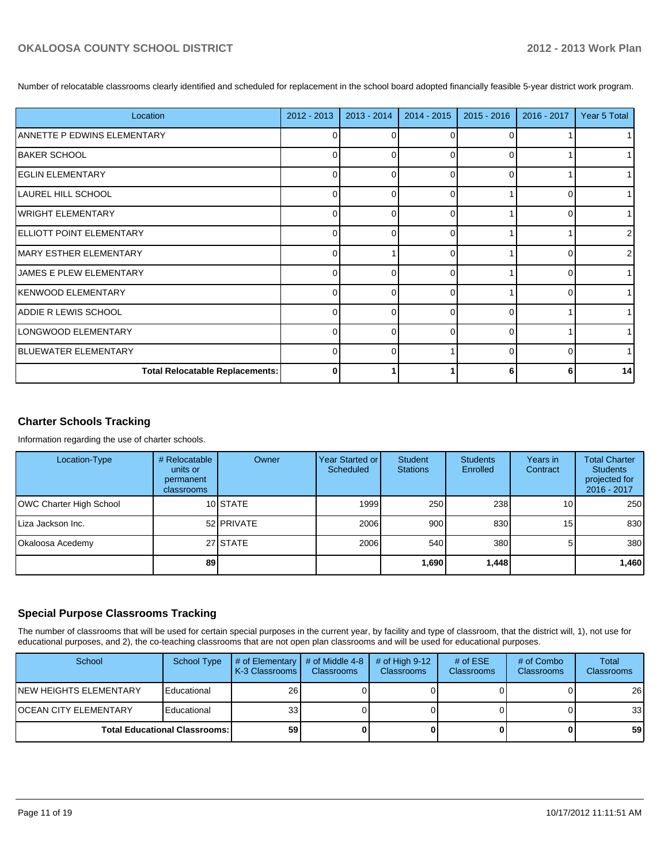Number of relocatable classrooms clearly identified and scheduled for replacement in the school board adopted financially feasible 5-year district work program.

| Location                               | 2012 - 2013 | 2013 - 2014 | 2014 - 2015 | $2015 - 2016$ | 2016 - 2017 | Year 5 Total |
|----------------------------------------|-------------|-------------|-------------|---------------|-------------|--------------|
| ANNETTE P EDWINS ELEMENTARY            | 0           | 0           | ∩           | $\Omega$      |             |              |
| <b>BAKER SCHOOL</b>                    | $\Omega$    |             | ∩           | 0             |             |              |
| <b>EGLIN ELEMENTARY</b>                | $\Omega$    | $\Omega$    | $\Omega$    | $\Omega$      |             |              |
| LAUREL HILL SCHOOL                     | 0           | $\Omega$    | $\Omega$    |               |             |              |
| <b>WRIGHT ELEMENTARY</b>               | $\Omega$    | r           | ∩           |               |             |              |
| <b>IELLIOTT POINT ELEMENTARY</b>       | 0           | ∩           | $\Omega$    |               |             | 2            |
| IMARY ESTHER ELEMENTARY                | 0           |             | $\Omega$    |               |             | 2            |
| JAMES E PLEW ELEMENTARY                | $\Omega$    | r           | ∩           |               |             |              |
| <b>KENWOOD ELEMENTARY</b>              | $\Omega$    | $\Omega$    | $\Omega$    |               | ∩           |              |
| <b>ADDIE R LEWIS SCHOOL</b>            | $\Omega$    | ∩           | ∩           | 0             |             |              |
| LONGWOOD ELEMENTARY                    | $\Omega$    | ∩           | $\Omega$    | $\Omega$      |             |              |
| BLUEWATER ELEMENTARY                   | $\Omega$    | $\Omega$    |             | $\Omega$      | O           |              |
| <b>Total Relocatable Replacements:</b> | 0           |             |             |               |             | 14           |

## **Charter Schools Tracking**

Information regarding the use of charter schools.

| Location-Type                  | # Relocatable<br>units or<br>permanent<br>classrooms | Owner      | Year Started or I<br><b>Scheduled</b> | Student<br><b>Stations</b> | <b>Students</b><br>Enrolled | Years in<br>Contract | <b>Total Charter</b><br><b>Students</b><br>projected for<br>2016 - 2017 |
|--------------------------------|------------------------------------------------------|------------|---------------------------------------|----------------------------|-----------------------------|----------------------|-------------------------------------------------------------------------|
| <b>OWC Charter High School</b> |                                                      | 10 STATE   | 1999                                  | 250                        | 238                         | 10 I                 | 250                                                                     |
| I Liza Jackson Inc.            |                                                      | 52 PRIVATE | 2006                                  | 900                        | 830                         | 15 <sup>1</sup>      | 830                                                                     |
| Okaloosa Acedemy               |                                                      | 27 STATE   | 2006                                  | 540                        | 380                         | 51                   | 380                                                                     |
|                                | 89                                                   |            |                                       | 1,690                      | 1,448                       |                      | 1,460                                                                   |

#### **Special Purpose Classrooms Tracking**

The number of classrooms that will be used for certain special purposes in the current year, by facility and type of classroom, that the district will, 1), not use for educational purposes, and 2), the co-teaching classrooms that are not open plan classrooms and will be used for educational purposes.

| School                                 | <b>School Type</b> | $\#$ of Elementary<br>LK-3 Classrooms I | # of Middle 4-8<br><b>Classrooms</b> | $#$ of High 9-12<br><b>Classrooms</b> | # of $ESE$<br>Classrooms | # of Combo<br><b>Classrooms</b> | Total<br><b>Classrooms</b> |
|----------------------------------------|--------------------|-----------------------------------------|--------------------------------------|---------------------------------------|--------------------------|---------------------------------|----------------------------|
| INEW HEIGHTS ELEMENTARY                | Educational        | 26                                      |                                      |                                       |                          |                                 | 26                         |
| <b>OCEAN CITY ELEMENTARY</b>           | Educational        | 33                                      |                                      |                                       |                          |                                 | 33 <sub>1</sub>            |
| <b>Total Educational Classrooms: I</b> |                    | 59                                      |                                      |                                       |                          |                                 | 59                         |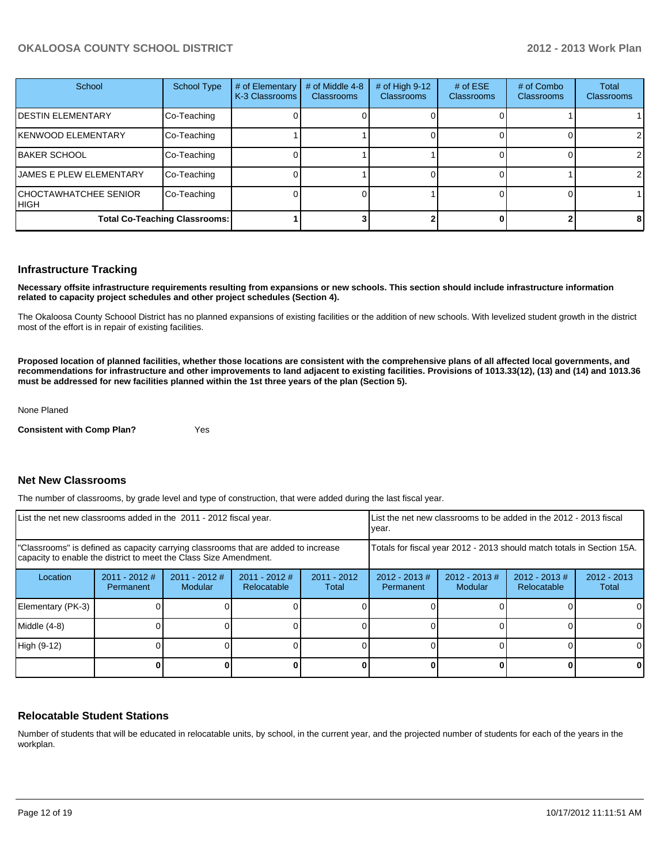| School                                      | School Type | # of Elementary<br>K-3 Classrooms | # of Middle 4-8<br><b>Classrooms</b> | # of High 9-12<br>Classrooms | # of $ESE$<br>Classrooms | # of Combo<br><b>Classrooms</b> | Total<br>Classrooms |
|---------------------------------------------|-------------|-----------------------------------|--------------------------------------|------------------------------|--------------------------|---------------------------------|---------------------|
| <b>DESTIN ELEMENTARY</b>                    | Co-Teaching |                                   |                                      |                              |                          |                                 |                     |
| <b>KENWOOD ELEMENTARY</b>                   | Co-Teaching |                                   |                                      |                              |                          |                                 | $\overline{2}$      |
| <b>BAKER SCHOOL</b>                         | Co-Teaching |                                   |                                      |                              |                          |                                 | $\overline{2}$      |
| <b>JAMES E PLEW ELEMENTARY</b>              | Co-Teaching |                                   |                                      |                              |                          |                                 | 2                   |
| <b>CHOCTAWHATCHEE SENIOR</b><br><b>HIGH</b> | Co-Teaching |                                   |                                      |                              |                          |                                 |                     |
| <b>Total Co-Teaching Classrooms:</b>        |             |                                   |                                      |                              |                          |                                 | 8                   |

#### **Infrastructure Tracking**

**Necessary offsite infrastructure requirements resulting from expansions or new schools. This section should include infrastructure information related to capacity project schedules and other project schedules (Section 4).**

The Okaloosa County Schoool District has no planned expansions of existing facilities or the addition of new schools. With levelized student growth in the district most of the effort is in repair of existing facilities.

**Proposed location of planned facilities, whether those locations are consistent with the comprehensive plans of all affected local governments, and recommendations for infrastructure and other improvements to land adjacent to existing facilities. Provisions of 1013.33(12), (13) and (14) and 1013.36 must be addressed for new facilities planned within the 1st three years of the plan (Section 5).**

None Planed

**Consistent with Comp Plan?** Yes

#### **Net New Classrooms**

The number of classrooms, by grade level and type of construction, that were added during the last fiscal year.

| List the net new classrooms added in the 2011 - 2012 fiscal year.                                                                                       |                              |                                   |                                                                        | LList the net new classrooms to be added in the 2012 - 2013 fiscal<br>Ivear. |                              |                            |                                 |                        |
|---------------------------------------------------------------------------------------------------------------------------------------------------------|------------------------------|-----------------------------------|------------------------------------------------------------------------|------------------------------------------------------------------------------|------------------------------|----------------------------|---------------------------------|------------------------|
| "Classrooms" is defined as capacity carrying classrooms that are added to increase<br>capacity to enable the district to meet the Class Size Amendment. |                              |                                   | Totals for fiscal year 2012 - 2013 should match totals in Section 15A. |                                                                              |                              |                            |                                 |                        |
| Location                                                                                                                                                | $2011 - 2012$ #<br>Permanent | $2011 - 2012$ #<br><b>Modular</b> | 2011 - 2012 #<br>Relocatable                                           | $2011 - 2012$<br>Total                                                       | $2012 - 2013$ #<br>Permanent | $2012 - 2013$ #<br>Modular | $2012 - 2013 \#$<br>Relocatable | $2012 - 2013$<br>Total |
| Elementary (PK-3)                                                                                                                                       |                              |                                   |                                                                        |                                                                              |                              |                            |                                 |                        |
| Middle (4-8)                                                                                                                                            |                              |                                   |                                                                        |                                                                              |                              |                            |                                 |                        |
| High (9-12)                                                                                                                                             |                              |                                   |                                                                        |                                                                              |                              |                            |                                 | $\Omega$               |
|                                                                                                                                                         |                              |                                   |                                                                        |                                                                              |                              |                            |                                 | 0                      |

#### **Relocatable Student Stations**

Number of students that will be educated in relocatable units, by school, in the current year, and the projected number of students for each of the years in the workplan.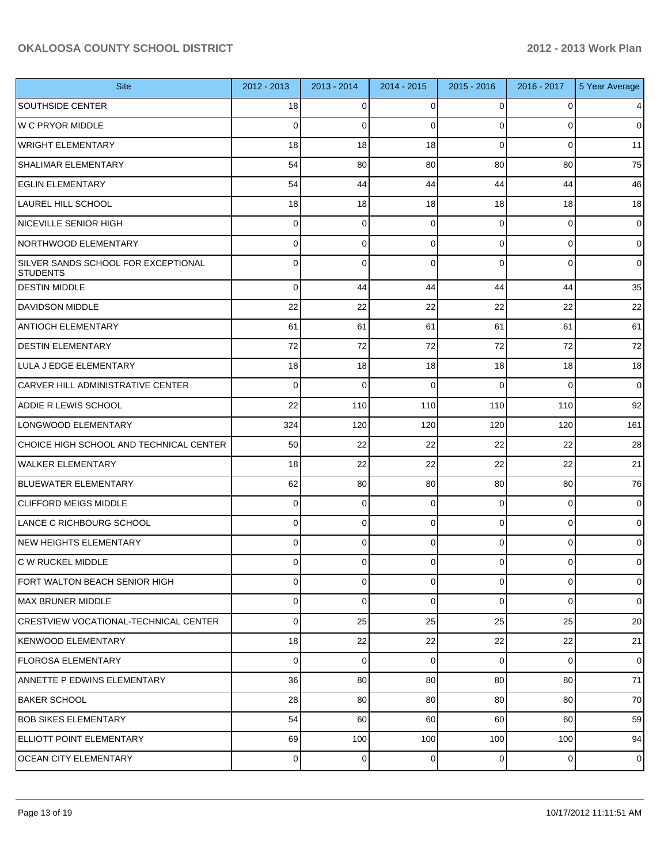| <b>Site</b>                                            | 2012 - 2013    | 2013 - 2014 | 2014 - 2015 | 2015 - 2016    | 2016 - 2017 | 5 Year Average |
|--------------------------------------------------------|----------------|-------------|-------------|----------------|-------------|----------------|
| <b>SOUTHSIDE CENTER</b>                                | 18             | 0           | 0           | $\Omega$       | 0           | 4              |
| <b>W C PRYOR MIDDLE</b>                                | $\Omega$       | $\Omega$    | 0           | $\Omega$       | $\Omega$    | $\overline{0}$ |
| <b>WRIGHT ELEMENTARY</b>                               | 18             | 18          | 18          | $\Omega$       | $\Omega$    | 11             |
| SHALIMAR ELEMENTARY                                    | 54             | 80          | 80          | 80             | 80          | 75             |
| <b>EGLIN ELEMENTARY</b>                                | 54             | 44          | 44          | 44             | 44          | 46             |
| LAUREL HILL SCHOOL                                     | 18             | 18          | 18          | 18             | 18          | 18             |
| <b>NICEVILLE SENIOR HIGH</b>                           | $\Omega$       | $\mathbf 0$ | 0           | $\Omega$       | $\mathbf 0$ | $\overline{0}$ |
| NORTHWOOD ELEMENTARY                                   | 0              | 0           | $\Omega$    | $\Omega$       | $\Omega$    | $\overline{0}$ |
| SILVER SANDS SCHOOL FOR EXCEPTIONAL<br><b>STUDENTS</b> | 0              | $\Omega$    | $\Omega$    | $\Omega$       | $\Omega$    | $\overline{0}$ |
| <b>DESTIN MIDDLE</b>                                   | $\Omega$       | 44          | 44          | 44             | 44          | 35             |
| DAVIDSON MIDDLE                                        | 22             | 22          | 22          | 22             | 22          | 22             |
| <b>ANTIOCH ELEMENTARY</b>                              | 61             | 61          | 61          | 61             | 61          | 61             |
| <b>DESTIN ELEMENTARY</b>                               | 72             | 72          | 72          | 72             | 72          | 72             |
| LULA J EDGE ELEMENTARY                                 | 18             | 18          | 18          | 18             | 18          | 18             |
| <b>CARVER HILL ADMINISTRATIVE CENTER</b>               | $\Omega$       | $\Omega$    | $\Omega$    | $\Omega$       | $\Omega$    | $\overline{0}$ |
| <b>ADDIE R LEWIS SCHOOL</b>                            | 22             | 110         | 110         | 110            | 110         | 92             |
| LONGWOOD ELEMENTARY                                    | 324            | 120         | 120         | 120            | 120         | 161            |
| CHOICE HIGH SCHOOL AND TECHNICAL CENTER                | 50             | 22          | 22          | 22             | 22          | 28             |
| WALKER ELEMENTARY                                      | 18             | 22          | 22          | 22             | 22          | 21             |
| BLUEWATER ELEMENTARY                                   | 62             | 80          | 80          | 80             | 80          | 76             |
| <b>CLIFFORD MEIGS MIDDLE</b>                           | 0              | 0           | 0           | $\Omega$       | $\Omega$    | $\overline{0}$ |
| LANCE C RICHBOURG SCHOOL                               | $\mathbf 0$    | $\mathbf 0$ | 0           | $\Omega$       | $\mathbf 0$ | $\overline{0}$ |
| <b>NEW HEIGHTS ELEMENTARY</b>                          | $\Omega$       | 0           | 0           | $\Omega$       | 0           | $\overline{0}$ |
| <b>C W RUCKEL MIDDLE</b>                               | $\overline{0}$ | 0           | 0           | $\overline{0}$ | 0           | $\overline{0}$ |
| FORT WALTON BEACH SENIOR HIGH                          | $\overline{0}$ | 0           | 0           | $\Omega$       | 0           | $\overline{0}$ |
| <b>MAX BRUNER MIDDLE</b>                               | $\overline{0}$ | 0           | 0           | $\Omega$       | $\mathbf 0$ | $\overline{0}$ |
| <b>CRESTVIEW VOCATIONAL-TECHNICAL CENTER</b>           | $\mathbf 0$    | 25          | 25          | 25             | 25          | 20             |
| KENWOOD ELEMENTARY                                     | 18             | 22          | 22          | 22             | 22          | 21             |
| FLOROSA ELEMENTARY                                     | $\Omega$       | $\mathbf 0$ | 0           | $\Omega$       | $\mathbf 0$ | $\overline{0}$ |
| ANNETTE P EDWINS ELEMENTARY                            | 36             | 80          | 80          | 80             | 80          | 71             |
| BAKER SCHOOL                                           | 28             | 80          | 80          | 80             | 80          | 70             |
| <b>BOB SIKES ELEMENTARY</b>                            | 54             | 60          | 60          | 60             | 60          | 59             |
| ELLIOTT POINT ELEMENTARY                               | 69             | 100         | 100         | 100            | 100         | 94             |
| <b>OCEAN CITY ELEMENTARY</b>                           | $\overline{0}$ | 0           | $\mathbf 0$ | $\overline{0}$ | $\mathbf 0$ | $\overline{0}$ |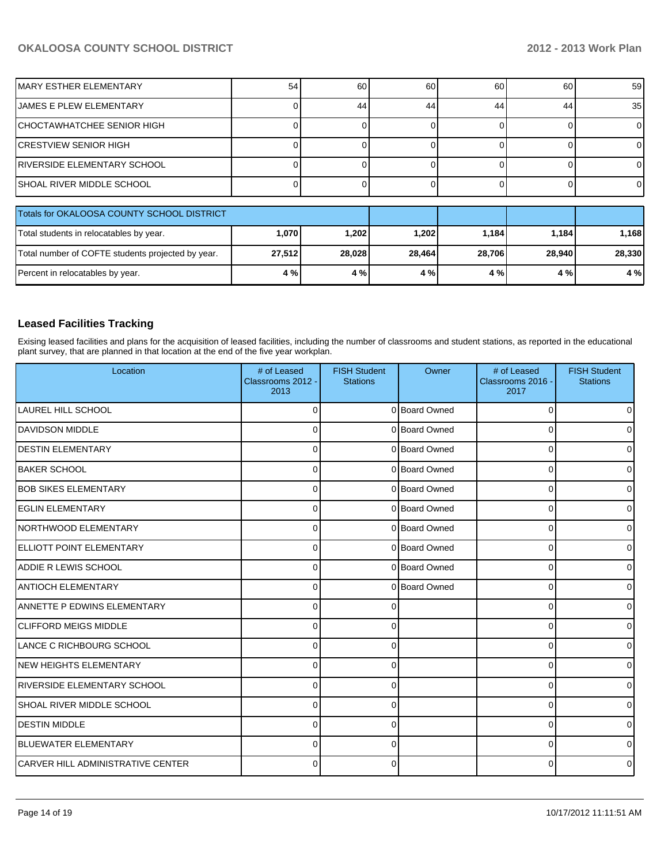| IMARY ESTHER ELEMENTARY                           | 54     | 60     | 60     | 60     | 60     | 59     |
|---------------------------------------------------|--------|--------|--------|--------|--------|--------|
| <b>JAMES E PLEW ELEMENTARY</b>                    |        | 44     | 44     | 44     | 44     | 35     |
| CHOCTAWHATCHEE SENIOR HIGH                        |        |        |        |        |        |        |
| ICRESTVIEW SENIOR HIGH                            |        |        |        |        |        |        |
| IRIVERSIDE ELEMENTARY SCHOOL                      |        |        |        |        |        |        |
| ISHOAL RIVER MIDDLE SCHOOL                        |        |        |        |        |        |        |
| Totals for OKALOOSA COUNTY SCHOOL DISTRICT        |        |        |        |        |        |        |
| Total students in relocatables by year.           | 1,070  | 1,202  | 1,202  | 1,184  | 1,184  | 1,168  |
| Total number of COFTE students projected by year. | 27,512 | 28,028 | 28,464 | 28,706 | 28,940 | 28,330 |
| Percent in relocatables by year.                  | 4 %    | 4 %    | 4 %    | 4 %    | 4 %    | 4 %    |

## **Leased Facilities Tracking**

Exising leased facilities and plans for the acquisition of leased facilities, including the number of classrooms and student stations, as reported in the educational plant survey, that are planned in that location at the end of the five year workplan.

| Location                                 | # of Leased<br>Classrooms 2012 -<br>2013 | <b>FISH Student</b><br><b>Stations</b> | Owner         | # of Leased<br>Classrooms 2016 -<br>2017 | <b>FISH Student</b><br><b>Stations</b> |
|------------------------------------------|------------------------------------------|----------------------------------------|---------------|------------------------------------------|----------------------------------------|
| <b>LAUREL HILL SCHOOL</b>                | ∩                                        |                                        | 0 Board Owned | $\Omega$                                 |                                        |
| <b>DAVIDSON MIDDLE</b>                   | 0                                        |                                        | 0 Board Owned | 0                                        |                                        |
| <b>DESTIN ELEMENTARY</b>                 | $\Omega$                                 |                                        | 0 Board Owned | $\Omega$                                 |                                        |
| <b>BAKER SCHOOL</b>                      | $\Omega$                                 |                                        | 0 Board Owned | $\Omega$                                 |                                        |
| <b>BOB SIKES ELEMENTARY</b>              | $\Omega$                                 |                                        | 0 Board Owned | 0                                        |                                        |
| <b>EGLIN ELEMENTARY</b>                  | $\Omega$                                 |                                        | 0 Board Owned | $\Omega$                                 |                                        |
| INORTHWOOD ELEMENTARY                    | $\Omega$                                 |                                        | 0 Board Owned | 0                                        |                                        |
| ELLIOTT POINT ELEMENTARY                 | $\Omega$                                 |                                        | 0 Board Owned | 0                                        |                                        |
| <b>ADDIE R LEWIS SCHOOL</b>              | $\Omega$                                 |                                        | 0 Board Owned | $\Omega$                                 |                                        |
| <b>ANTIOCH ELEMENTARY</b>                | $\Omega$                                 |                                        | 0 Board Owned | $\Omega$                                 |                                        |
| <b>ANNETTE P EDWINS ELEMENTARY</b>       | $\Omega$                                 |                                        |               | 0                                        |                                        |
| <b>CLIFFORD MEIGS MIDDLE</b>             | $\Omega$                                 |                                        |               | 0                                        |                                        |
| LANCE C RICHBOURG SCHOOL                 | $\Omega$                                 |                                        |               | $\Omega$                                 |                                        |
| INEW HEIGHTS ELEMENTARY                  | $\Omega$                                 | O                                      |               | $\Omega$                                 |                                        |
| IRIVERSIDE ELEMENTARY SCHOOL             | $\Omega$                                 | 0                                      |               | 0                                        |                                        |
| <b>SHOAL RIVER MIDDLE SCHOOL</b>         | $\Omega$                                 | 0                                      |               | $\Omega$                                 |                                        |
| <b>DESTIN MIDDLE</b>                     | $\Omega$                                 | 0                                      |               | 0                                        | <sup>0</sup>                           |
| <b>BLUEWATER ELEMENTARY</b>              | $\Omega$                                 |                                        |               | 0                                        |                                        |
| <b>CARVER HILL ADMINISTRATIVE CENTER</b> | $\Omega$                                 |                                        |               | 0                                        |                                        |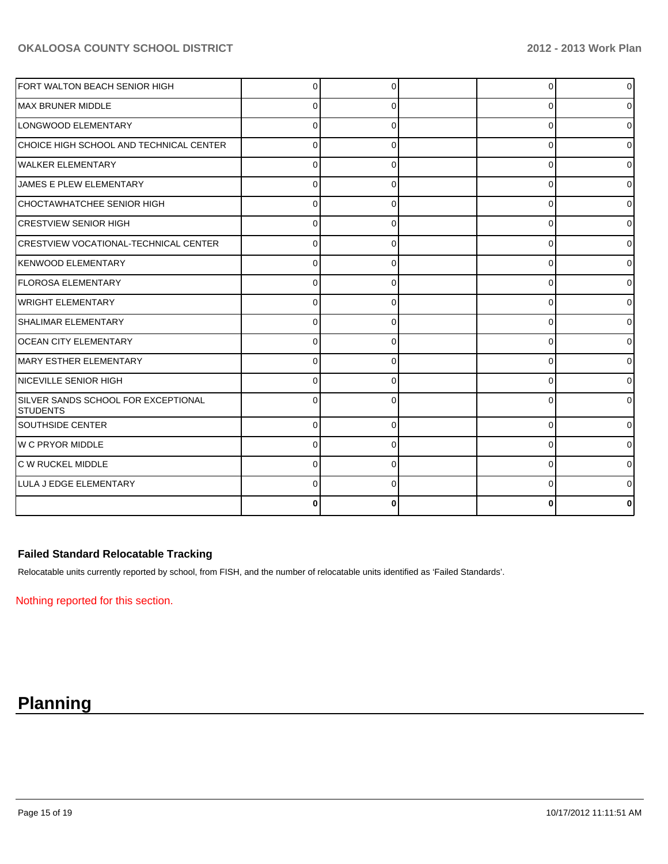| FORT WALTON BEACH SENIOR HIGH                          | U |          | $\Omega$ | $\overline{0}$ |
|--------------------------------------------------------|---|----------|----------|----------------|
| MAX BRUNER MIDDLE                                      | 0 |          | 0        | 0              |
| LONGWOOD ELEMENTARY                                    | n |          | 0        | 01             |
| CHOICE HIGH SCHOOL AND TECHNICAL CENTER                |   |          | C        | $\overline{0}$ |
| <b>WALKER ELEMENTARY</b>                               | U | O        | 0        | 0              |
| JAMES E PLEW ELEMENTARY                                |   |          | $\Omega$ | 01             |
| CHOCTAWHATCHEE SENIOR HIGH                             |   |          | 0        | Οl             |
| <b>CRESTVIEW SENIOR HIGH</b>                           | U | $\Omega$ | 0        | 0              |
| CRESTVIEW VOCATIONAL-TECHNICAL CENTER                  |   |          | O        | 0              |
| KENWOOD ELEMENTARY                                     |   |          | U        | 01             |
| <b>FLOROSA ELEMENTARY</b>                              | U |          | U        | 0              |
| <b>WRIGHT ELEMENTARY</b>                               |   |          | 0        | 0              |
| <b>SHALIMAR ELEMENTARY</b>                             |   |          | 0        | 0              |
| <b>OCEAN CITY ELEMENTARY</b>                           | 0 | O        | 0        | 01             |
| MARY ESTHER ELEMENTARY                                 | 0 | 0        | 0        | 0              |
| NICEVILLE SENIOR HIGH                                  |   |          | 0        | ٥I             |
| SILVER SANDS SCHOOL FOR EXCEPTIONAL<br><b>STUDENTS</b> |   |          | C        | 0              |
| <b>SOUTHSIDE CENTER</b>                                | 0 | O        | $\Omega$ | $\overline{0}$ |
| W C PRYOR MIDDLE                                       |   |          | ∩        | 01             |
| C W RUCKEL MIDDLE                                      |   |          | 0        | 0              |
| LULA J EDGE ELEMENTARY                                 | n |          | U        | 0              |
|                                                        |   |          |          | 0              |

## **Failed Standard Relocatable Tracking**

Relocatable units currently reported by school, from FISH, and the number of relocatable units identified as 'Failed Standards'.

Nothing reported for this section.

# **Planning**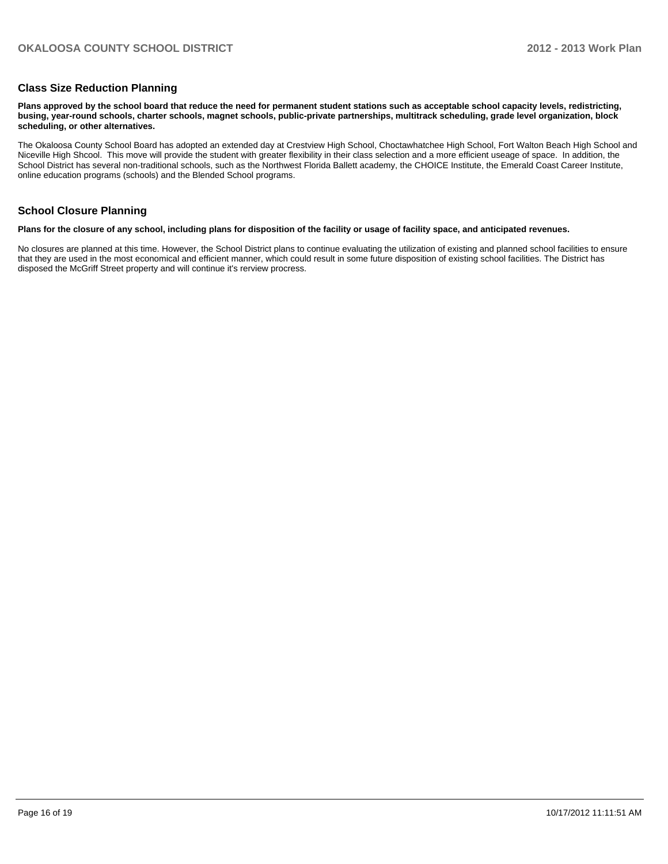#### **Class Size Reduction Planning**

**Plans approved by the school board that reduce the need for permanent student stations such as acceptable school capacity levels, redistricting, busing, year-round schools, charter schools, magnet schools, public-private partnerships, multitrack scheduling, grade level organization, block scheduling, or other alternatives.**

The Okaloosa County School Board has adopted an extended day at Crestview High School, Choctawhatchee High School, Fort Walton Beach High School and Niceville High Shcool. This move will provide the student with greater flexibility in their class selection and a more efficient useage of space. In addition, the School District has several non-traditional schools, such as the Northwest Florida Ballett academy, the CHOICE Institute, the Emerald Coast Career Institute, online education programs (schools) and the Blended School programs.

#### **School Closure Planning**

#### **Plans for the closure of any school, including plans for disposition of the facility or usage of facility space, and anticipated revenues.**

No closures are planned at this time. However, the School District plans to continue evaluating the utilization of existing and planned school facilities to ensure that they are used in the most economical and efficient manner, which could result in some future disposition of existing school facilities. The District has disposed the McGriff Street property and will continue it's rerview procress.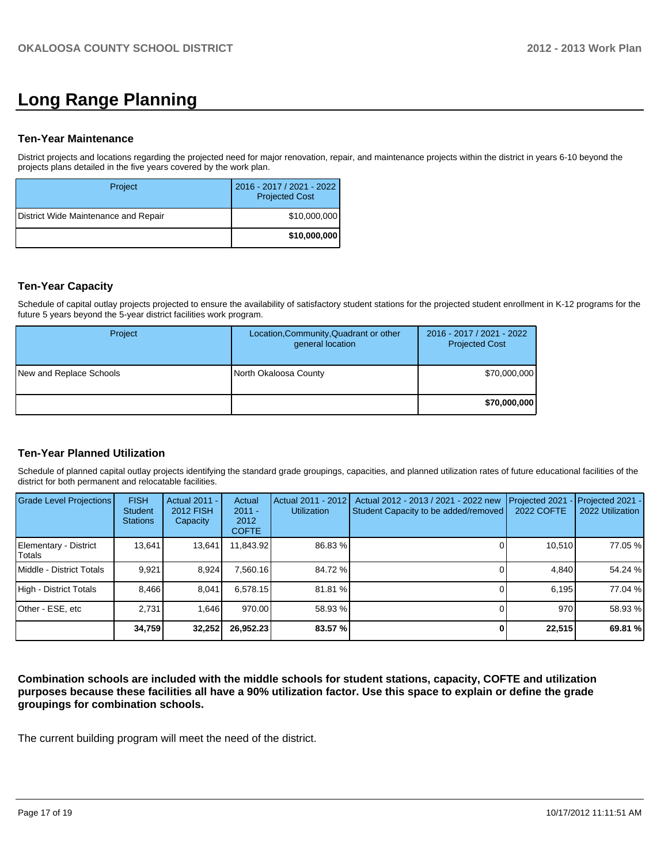# **Long Range Planning**

#### **Ten-Year Maintenance**

District projects and locations regarding the projected need for major renovation, repair, and maintenance projects within the district in years 6-10 beyond the projects plans detailed in the five years covered by the work plan.

| Project                              | 2016 - 2017 / 2021 - 2022<br><b>Projected Cost</b> |
|--------------------------------------|----------------------------------------------------|
| District Wide Maintenance and Repair | \$10,000,000                                       |
|                                      | \$10,000,000                                       |

### **Ten-Year Capacity**

Schedule of capital outlay projects projected to ensure the availability of satisfactory student stations for the projected student enrollment in K-12 programs for the future 5 years beyond the 5-year district facilities work program.

| Project                 | Location, Community, Quadrant or other<br>general location | 2016 - 2017 / 2021 - 2022<br><b>Projected Cost</b> |
|-------------------------|------------------------------------------------------------|----------------------------------------------------|
| New and Replace Schools | North Okaloosa County                                      | \$70,000,000                                       |
|                         |                                                            | \$70,000,000                                       |

#### **Ten-Year Planned Utilization**

Schedule of planned capital outlay projects identifying the standard grade groupings, capacities, and planned utilization rates of future educational facilities of the district for both permanent and relocatable facilities.

| <b>Grade Level Projections</b>  | <b>FISH</b><br><b>Student</b><br><b>Stations</b> | Actual 2011 -<br>2012 FISH<br>Capacity | Actual<br>$2011 -$<br>2012<br><b>COFTE</b> | Actual 2011 - 2012<br><b>Utilization</b> | Actual 2012 - 2013 / 2021 - 2022 new<br>Student Capacity to be added/removed | Projected 2021<br>2022 COFTE | Projected 2021 -<br>2022 Utilization |
|---------------------------------|--------------------------------------------------|----------------------------------------|--------------------------------------------|------------------------------------------|------------------------------------------------------------------------------|------------------------------|--------------------------------------|
| Elementary - District<br>Totals | 13,641                                           | 13,641                                 | 11,843.92                                  | 86.83 %                                  |                                                                              | 10,510                       | 77.05 %                              |
| Middle - District Totals        | 9.921                                            | 8.924                                  | 7.560.16                                   | 84.72 %                                  |                                                                              | 4.840                        | 54.24 %                              |
| High - District Totals          | 8.466                                            | 8.041                                  | 6.578.15                                   | 81.81 %                                  |                                                                              | 6.195                        | 77.04 %                              |
| Other - ESE, etc                | 2.731                                            | 1.646                                  | 970.00                                     | 58.93 %                                  |                                                                              | 970                          | 58.93 %                              |
|                                 | 34,759                                           | 32,252                                 | 26,952.23                                  | 83.57%                                   |                                                                              | 22,515                       | 69.81 %                              |

**Combination schools are included with the middle schools for student stations, capacity, COFTE and utilization purposes because these facilities all have a 90% utilization factor. Use this space to explain or define the grade groupings for combination schools.**

The current building program will meet the need of the district.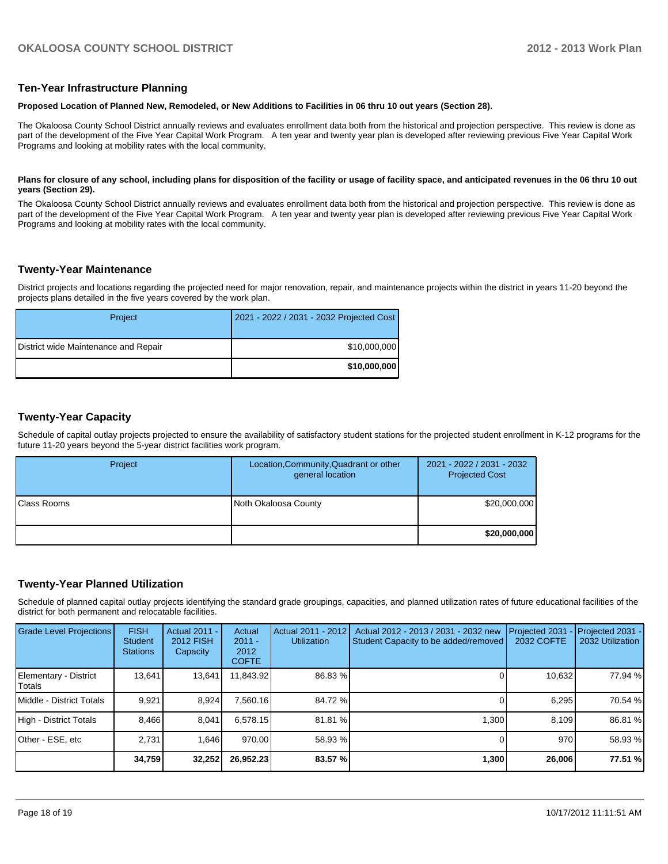#### **Ten-Year Infrastructure Planning**

#### **Proposed Location of Planned New, Remodeled, or New Additions to Facilities in 06 thru 10 out years (Section 28).**

The Okaloosa County School District annually reviews and evaluates enrollment data both from the historical and projection perspective. This review is done as part of the development of the Five Year Capital Work Program. A ten year and twenty year plan is developed after reviewing previous Five Year Capital Work Programs and looking at mobility rates with the local community.

#### Plans for closure of any school, including plans for disposition of the facility or usage of facility space, and anticipated revenues in the 06 thru 10 out **years (Section 29).**

The Okaloosa County School District annually reviews and evaluates enrollment data both from the historical and projection perspective. This review is done as part of the development of the Five Year Capital Work Program. A ten year and twenty year plan is developed after reviewing previous Five Year Capital Work Programs and looking at mobility rates with the local community.

### **Twenty-Year Maintenance**

District projects and locations regarding the projected need for major renovation, repair, and maintenance projects within the district in years 11-20 beyond the projects plans detailed in the five years covered by the work plan.

| Project                              | 2021 - 2022 / 2031 - 2032 Projected Cost |
|--------------------------------------|------------------------------------------|
| District wide Maintenance and Repair | \$10,000,000                             |
|                                      | \$10,000,000                             |

### **Twenty-Year Capacity**

Schedule of capital outlay projects projected to ensure the availability of satisfactory student stations for the projected student enrollment in K-12 programs for the future 11-20 years beyond the 5-year district facilities work program.

| Project      | Location, Community, Quadrant or other<br>general location | 2021 - 2022 / 2031 - 2032<br><b>Projected Cost</b> |
|--------------|------------------------------------------------------------|----------------------------------------------------|
| IClass Rooms | Noth Okaloosa County                                       | \$20,000,000                                       |
|              |                                                            | \$20,000,000                                       |

## **Twenty-Year Planned Utilization**

Schedule of planned capital outlay projects identifying the standard grade groupings, capacities, and planned utilization rates of future educational facilities of the district for both permanent and relocatable facilities.

| <b>Grade Level Projections</b>    | <b>FISH</b><br><b>Student</b><br><b>Stations</b> | <b>Actual 2011 -</b><br><b>2012 FISH</b><br>Capacity | Actual<br>$2011 -$<br>2012<br><b>COFTE</b> | Actual 2011 - 2012<br><b>Utilization</b> | Actual 2012 - 2013 / 2031 - 2032 new<br>Student Capacity to be added/removed | Projected 2031<br><b>2032 COFTE</b> | $-$ Projected 2031 -<br>2032 Utilization |
|-----------------------------------|--------------------------------------------------|------------------------------------------------------|--------------------------------------------|------------------------------------------|------------------------------------------------------------------------------|-------------------------------------|------------------------------------------|
| Elementary - District<br>l Totals | 13.641                                           | 13,641                                               | 11,843.92                                  | 86.83 %                                  |                                                                              | 10,632                              | 77.94 %                                  |
| Middle - District Totals          | 9.921                                            | 8.924                                                | 7.560.16                                   | 84.72 %                                  |                                                                              | 6.295                               | 70.54 %                                  |
| High - District Totals            | 8.466                                            | 8.041                                                | 6.578.15                                   | 81.81 %                                  | 1.300                                                                        | 8.109                               | 86.81 %                                  |
| Other - ESE, etc                  | 2.731                                            | 1.646                                                | 970.00                                     | 58.93 %                                  |                                                                              | 970                                 | 58.93 %                                  |
|                                   | 34,759                                           | 32,252                                               | 26,952.23                                  | 83.57%                                   | 1,300                                                                        | 26,006                              | 77.51 %                                  |